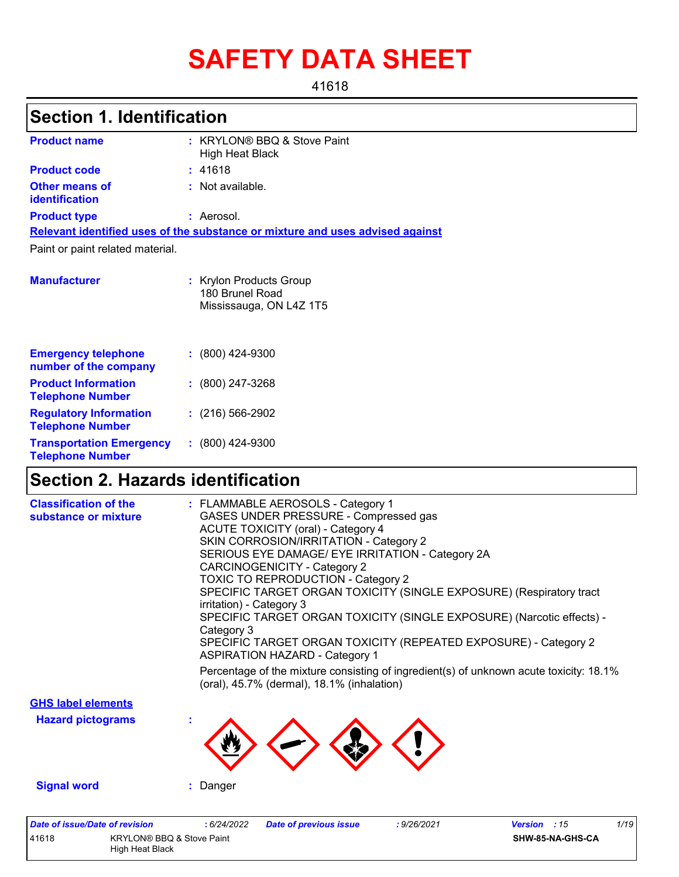# **SAFETY DATA SHEET**

41618

## **Section 1. Identification**

| <b>Product name</b>                                        | : KRYLON® BBQ & Stove Paint<br><b>High Heat Black</b>                         |
|------------------------------------------------------------|-------------------------------------------------------------------------------|
| <b>Product code</b>                                        | : 41618                                                                       |
| <b>Other means of</b><br><b>identification</b>             | : Not available.                                                              |
| <b>Product type</b>                                        | : Aerosol.                                                                    |
|                                                            | Relevant identified uses of the substance or mixture and uses advised against |
| Paint or paint related material.                           |                                                                               |
| <b>Manufacturer</b>                                        | : Krylon Products Group<br>180 Brunel Road<br>Mississauga, ON L4Z 1T5         |
| <b>Emergency telephone</b><br>number of the company        | $: (800)$ 424-9300                                                            |
| <b>Product Information</b><br><b>Telephone Number</b>      | $: (800)$ 247-3268                                                            |
| <b>Regulatory Information</b><br><b>Telephone Number</b>   | $: (216) 566 - 2902$                                                          |
| <b>Transportation Emergency</b><br><b>Telephone Number</b> | $: (800)$ 424-9300                                                            |

# **Section 2. Hazards identification**

High Heat Black

| <b>Date of issue/Date of revision</b><br>41618<br><b>KRYLON® BBQ &amp; Stove Paint</b> | 1/19<br>:6/24/2022<br>: 9/26/2021<br>Version : 15<br><b>Date of previous issue</b><br>SHW-85-NA-GHS-CA                                                                                                                                                                                                                                                                                                                                                                                                                     |
|----------------------------------------------------------------------------------------|----------------------------------------------------------------------------------------------------------------------------------------------------------------------------------------------------------------------------------------------------------------------------------------------------------------------------------------------------------------------------------------------------------------------------------------------------------------------------------------------------------------------------|
| <b>Signal word</b>                                                                     | : Danger                                                                                                                                                                                                                                                                                                                                                                                                                                                                                                                   |
| <b>Hazard pictograms</b>                                                               |                                                                                                                                                                                                                                                                                                                                                                                                                                                                                                                            |
| <b>GHS label elements</b>                                                              |                                                                                                                                                                                                                                                                                                                                                                                                                                                                                                                            |
|                                                                                        | Percentage of the mixture consisting of ingredient(s) of unknown acute toxicity: $18.1\%$<br>(oral), 45.7% (dermal), 18.1% (inhalation)                                                                                                                                                                                                                                                                                                                                                                                    |
|                                                                                        | <b>ACUTE TOXICITY (oral) - Category 4</b><br>SKIN CORROSION/IRRITATION - Category 2<br>SERIOUS EYE DAMAGE/ EYE IRRITATION - Category 2A<br><b>CARCINOGENICITY - Category 2</b><br>TOXIC TO REPRODUCTION - Category 2<br>SPECIFIC TARGET ORGAN TOXICITY (SINGLE EXPOSURE) (Respiratory tract<br>irritation) - Category 3<br>SPECIFIC TARGET ORGAN TOXICITY (SINGLE EXPOSURE) (Narcotic effects) -<br>Category 3<br>SPECIFIC TARGET ORGAN TOXICITY (REPEATED EXPOSURE) - Category 2<br><b>ASPIRATION HAZARD - Category 1</b> |
| <b>Classification of the</b><br>substance or mixture                                   | : FLAMMABLE AEROSOLS - Category 1<br>GASES UNDER PRESSURE - Compressed gas                                                                                                                                                                                                                                                                                                                                                                                                                                                 |

|  | <b>SHW-85</b> |
|--|---------------|
|  |               |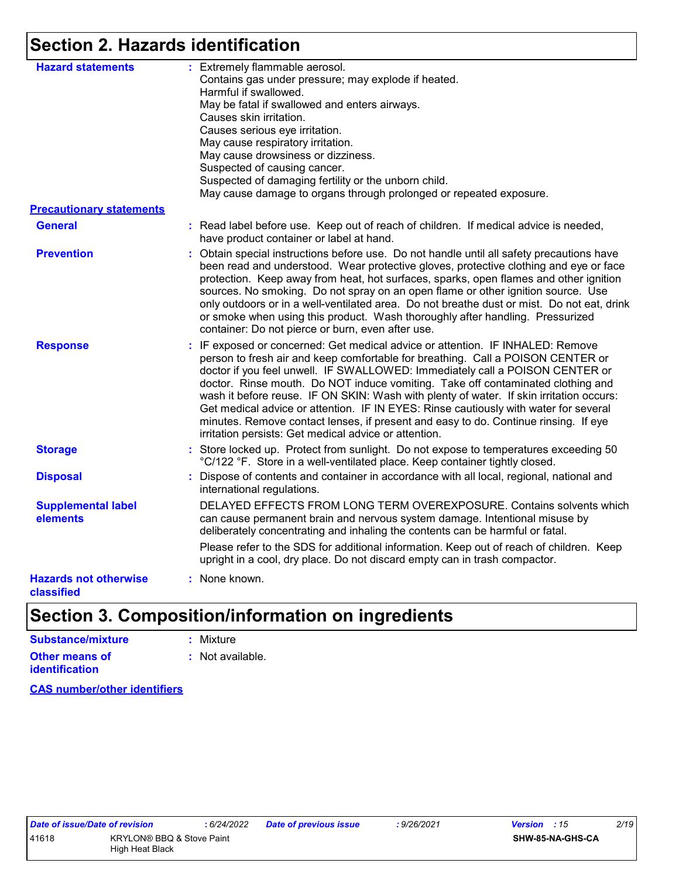## **Section 2. Hazards identification**

| <b>Hazard statements</b>                   | : Extremely flammable aerosol.<br>Contains gas under pressure; may explode if heated.                                                                                                                                                                                                                                                                                                                                                                                                                                                                                                                                                                                   |
|--------------------------------------------|-------------------------------------------------------------------------------------------------------------------------------------------------------------------------------------------------------------------------------------------------------------------------------------------------------------------------------------------------------------------------------------------------------------------------------------------------------------------------------------------------------------------------------------------------------------------------------------------------------------------------------------------------------------------------|
|                                            | Harmful if swallowed.<br>May be fatal if swallowed and enters airways.                                                                                                                                                                                                                                                                                                                                                                                                                                                                                                                                                                                                  |
|                                            | Causes skin irritation.                                                                                                                                                                                                                                                                                                                                                                                                                                                                                                                                                                                                                                                 |
|                                            | Causes serious eye irritation.                                                                                                                                                                                                                                                                                                                                                                                                                                                                                                                                                                                                                                          |
|                                            | May cause respiratory irritation.                                                                                                                                                                                                                                                                                                                                                                                                                                                                                                                                                                                                                                       |
|                                            | May cause drowsiness or dizziness.                                                                                                                                                                                                                                                                                                                                                                                                                                                                                                                                                                                                                                      |
|                                            | Suspected of causing cancer.                                                                                                                                                                                                                                                                                                                                                                                                                                                                                                                                                                                                                                            |
|                                            | Suspected of damaging fertility or the unborn child.                                                                                                                                                                                                                                                                                                                                                                                                                                                                                                                                                                                                                    |
|                                            | May cause damage to organs through prolonged or repeated exposure.                                                                                                                                                                                                                                                                                                                                                                                                                                                                                                                                                                                                      |
| <b>Precautionary statements</b>            |                                                                                                                                                                                                                                                                                                                                                                                                                                                                                                                                                                                                                                                                         |
| <b>General</b>                             | : Read label before use. Keep out of reach of children. If medical advice is needed,<br>have product container or label at hand.                                                                                                                                                                                                                                                                                                                                                                                                                                                                                                                                        |
| <b>Prevention</b>                          | : Obtain special instructions before use. Do not handle until all safety precautions have<br>been read and understood. Wear protective gloves, protective clothing and eye or face<br>protection. Keep away from heat, hot surfaces, sparks, open flames and other ignition<br>sources. No smoking. Do not spray on an open flame or other ignition source. Use<br>only outdoors or in a well-ventilated area. Do not breathe dust or mist. Do not eat, drink<br>or smoke when using this product. Wash thoroughly after handling. Pressurized<br>container: Do not pierce or burn, even after use.                                                                     |
| <b>Response</b>                            | : IF exposed or concerned: Get medical advice or attention. IF INHALED: Remove<br>person to fresh air and keep comfortable for breathing. Call a POISON CENTER or<br>doctor if you feel unwell. IF SWALLOWED: Immediately call a POISON CENTER or<br>doctor. Rinse mouth. Do NOT induce vomiting. Take off contaminated clothing and<br>wash it before reuse. IF ON SKIN: Wash with plenty of water. If skin irritation occurs:<br>Get medical advice or attention. IF IN EYES: Rinse cautiously with water for several<br>minutes. Remove contact lenses, if present and easy to do. Continue rinsing. If eye<br>irritation persists: Get medical advice or attention. |
| <b>Storage</b>                             | : Store locked up. Protect from sunlight. Do not expose to temperatures exceeding 50<br>°C/122 °F. Store in a well-ventilated place. Keep container tightly closed.                                                                                                                                                                                                                                                                                                                                                                                                                                                                                                     |
| <b>Disposal</b>                            | : Dispose of contents and container in accordance with all local, regional, national and<br>international regulations.                                                                                                                                                                                                                                                                                                                                                                                                                                                                                                                                                  |
| <b>Supplemental label</b><br>elements      | DELAYED EFFECTS FROM LONG TERM OVEREXPOSURE. Contains solvents which<br>can cause permanent brain and nervous system damage. Intentional misuse by<br>deliberately concentrating and inhaling the contents can be harmful or fatal.                                                                                                                                                                                                                                                                                                                                                                                                                                     |
|                                            | Please refer to the SDS for additional information. Keep out of reach of children. Keep<br>upright in a cool, dry place. Do not discard empty can in trash compactor.                                                                                                                                                                                                                                                                                                                                                                                                                                                                                                   |
| <b>Hazards not otherwise</b><br>classified | : None known.                                                                                                                                                                                                                                                                                                                                                                                                                                                                                                                                                                                                                                                           |

# **Section 3. Composition/information on ingredients**

| Substance/mixture                       | : Mixture        |
|-----------------------------------------|------------------|
| Other means of<br><b>identification</b> | : Not available. |

**CAS number/other identifiers**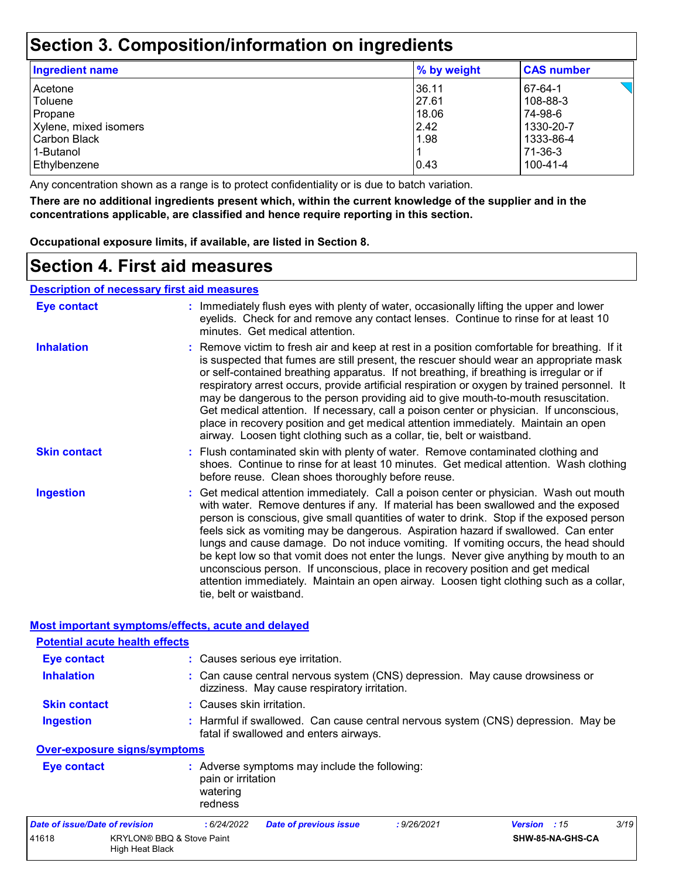## **Section 3. Composition/information on ingredients**

| Ingredient name       | % by weight | <b>CAS number</b> |
|-----------------------|-------------|-------------------|
| Acetone               | 36.11       | 67-64-1           |
| Toluene               | 27.61       | 108-88-3          |
| Propane               | 18.06       | 74-98-6           |
| Xylene, mixed isomers | 2.42        | 1330-20-7         |
| l Carbon Black        | 1.98        | 1333-86-4         |
| 1-Butanol             |             | 71-36-3           |
| Ethylbenzene          | 0.43        | 100-41-4          |

Any concentration shown as a range is to protect confidentiality or is due to batch variation.

**There are no additional ingredients present which, within the current knowledge of the supplier and in the concentrations applicable, are classified and hence require reporting in this section.**

**Occupational exposure limits, if available, are listed in Section 8.**

## **Section 4. First aid measures**

**Description of necessary first aid measures**

| <b>Eye contact</b>                                          | : Immediately flush eyes with plenty of water, occasionally lifting the upper and lower<br>eyelids. Check for and remove any contact lenses. Continue to rinse for at least 10<br>minutes. Get medical attention.                                                                                                                                                                                                                                                                                                                                                                                                                                                                                                                                       |
|-------------------------------------------------------------|---------------------------------------------------------------------------------------------------------------------------------------------------------------------------------------------------------------------------------------------------------------------------------------------------------------------------------------------------------------------------------------------------------------------------------------------------------------------------------------------------------------------------------------------------------------------------------------------------------------------------------------------------------------------------------------------------------------------------------------------------------|
| <b>Inhalation</b>                                           | : Remove victim to fresh air and keep at rest in a position comfortable for breathing. If it<br>is suspected that fumes are still present, the rescuer should wear an appropriate mask<br>or self-contained breathing apparatus. If not breathing, if breathing is irregular or if<br>respiratory arrest occurs, provide artificial respiration or oxygen by trained personnel. It<br>may be dangerous to the person providing aid to give mouth-to-mouth resuscitation.<br>Get medical attention. If necessary, call a poison center or physician. If unconscious,<br>place in recovery position and get medical attention immediately. Maintain an open<br>airway. Loosen tight clothing such as a collar, tie, belt or waistband.                    |
| <b>Skin contact</b>                                         | : Flush contaminated skin with plenty of water. Remove contaminated clothing and<br>shoes. Continue to rinse for at least 10 minutes. Get medical attention. Wash clothing<br>before reuse. Clean shoes thoroughly before reuse.                                                                                                                                                                                                                                                                                                                                                                                                                                                                                                                        |
| <b>Ingestion</b>                                            | : Get medical attention immediately. Call a poison center or physician. Wash out mouth<br>with water. Remove dentures if any. If material has been swallowed and the exposed<br>person is conscious, give small quantities of water to drink. Stop if the exposed person<br>feels sick as vomiting may be dangerous. Aspiration hazard if swallowed. Can enter<br>lungs and cause damage. Do not induce vomiting. If vomiting occurs, the head should<br>be kept low so that vomit does not enter the lungs. Never give anything by mouth to an<br>unconscious person. If unconscious, place in recovery position and get medical<br>attention immediately. Maintain an open airway. Loosen tight clothing such as a collar,<br>tie, belt or waistband. |
| Most important symptoms/effects, acute and delayed          |                                                                                                                                                                                                                                                                                                                                                                                                                                                                                                                                                                                                                                                                                                                                                         |
| <b>Potential acute health effects</b><br><b>Eye contact</b> | : Causes serious eye irritation.                                                                                                                                                                                                                                                                                                                                                                                                                                                                                                                                                                                                                                                                                                                        |
| <b>Inhalation</b>                                           |                                                                                                                                                                                                                                                                                                                                                                                                                                                                                                                                                                                                                                                                                                                                                         |
|                                                             | : Can cause central nervous system (CNS) depression. May cause drowsiness or<br>dizziness. May cause respiratory irritation.                                                                                                                                                                                                                                                                                                                                                                                                                                                                                                                                                                                                                            |
| <b>Skin contact</b>                                         | : Causes skin irritation.                                                                                                                                                                                                                                                                                                                                                                                                                                                                                                                                                                                                                                                                                                                               |
| <b>Ingestion</b>                                            | : Harmful if swallowed. Can cause central nervous system (CNS) depression. May be<br>fatal if swallowed and enters airways.                                                                                                                                                                                                                                                                                                                                                                                                                                                                                                                                                                                                                             |
| Over-exposure signs/symptoms                                |                                                                                                                                                                                                                                                                                                                                                                                                                                                                                                                                                                                                                                                                                                                                                         |

|             | watering<br>redness                                                 |  |
|-------------|---------------------------------------------------------------------|--|
| Eye contact | : Adverse symptoms may include the following:<br>pain or irritation |  |

| Date of issue/Date of revision |                                              | : 6/24/2022 | Date of previous issue | : 9/26/2021 | <b>Version</b> : 15 | 3/19 |
|--------------------------------|----------------------------------------------|-------------|------------------------|-------------|---------------------|------|
| 41618                          | KRYLON® BBQ & Stove Paint<br>High Heat Black |             |                        |             | SHW-85-NA-GHS-CA    |      |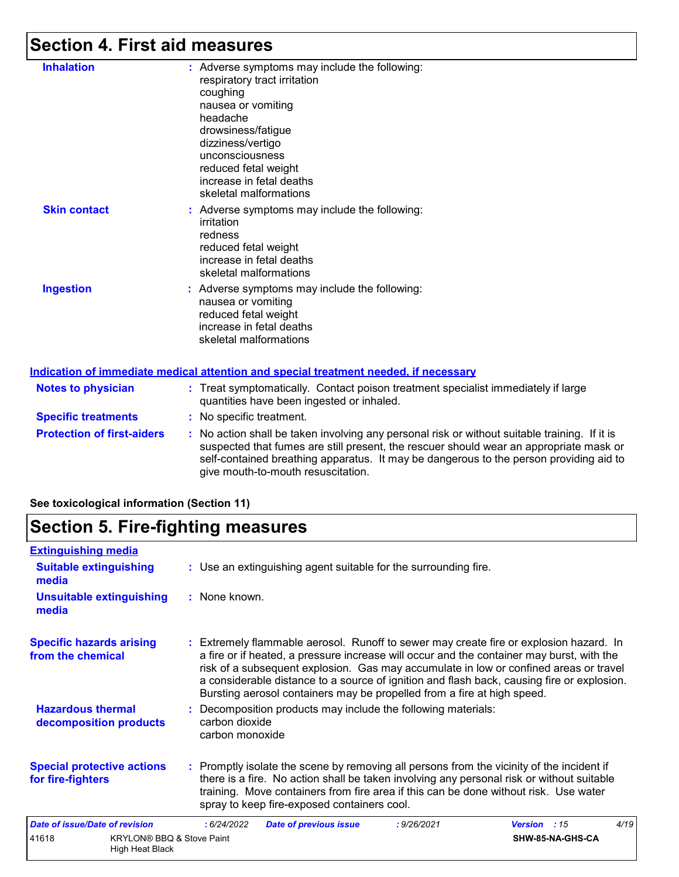# **Section 4. First aid measures**

| <b>Inhalation</b>   | : Adverse symptoms may include the following:<br>respiratory tract irritation<br>coughing<br>nausea or vomiting<br>headache<br>drowsiness/fatigue<br>dizziness/vertigo<br>unconsciousness<br>reduced fetal weight<br>increase in fetal deaths<br>skeletal malformations |
|---------------------|-------------------------------------------------------------------------------------------------------------------------------------------------------------------------------------------------------------------------------------------------------------------------|
| <b>Skin contact</b> | : Adverse symptoms may include the following:<br>irritation<br>redness<br>reduced fetal weight<br>increase in fetal deaths<br>skeletal malformations                                                                                                                    |
| <b>Ingestion</b>    | : Adverse symptoms may include the following:<br>nausea or vomiting<br>reduced fetal weight<br>increase in fetal deaths<br>skeletal malformations                                                                                                                       |
|                     | <u>Indication of immediate medical attention and special treatment needed, if necessary</u>                                                                                                                                                                             |

|                                   | <u>Madalah di Milibarata Maalah attorition ana opodial trodhibiit noododi il noododar f</u>                                                                                                                                                                                                                             |
|-----------------------------------|-------------------------------------------------------------------------------------------------------------------------------------------------------------------------------------------------------------------------------------------------------------------------------------------------------------------------|
| <b>Notes to physician</b>         | : Treat symptomatically. Contact poison treatment specialist immediately if large<br>quantities have been ingested or inhaled.                                                                                                                                                                                          |
| <b>Specific treatments</b>        | : No specific treatment.                                                                                                                                                                                                                                                                                                |
| <b>Protection of first-aiders</b> | : No action shall be taken involving any personal risk or without suitable training. If it is<br>suspected that fumes are still present, the rescuer should wear an appropriate mask or<br>self-contained breathing apparatus. It may be dangerous to the person providing aid to<br>give mouth-to-mouth resuscitation. |

#### **See toxicological information (Section 11)**

## **Section 5. Fire-fighting measures**

| <b>Extinguishing media</b>                             |                                                         |                                   |                                                                                                                                                                                                                                                                                                                                                                                                                                                       |             |              |                  |      |
|--------------------------------------------------------|---------------------------------------------------------|-----------------------------------|-------------------------------------------------------------------------------------------------------------------------------------------------------------------------------------------------------------------------------------------------------------------------------------------------------------------------------------------------------------------------------------------------------------------------------------------------------|-------------|--------------|------------------|------|
| <b>Suitable extinguishing</b><br>media                 |                                                         |                                   | : Use an extinguishing agent suitable for the surrounding fire.                                                                                                                                                                                                                                                                                                                                                                                       |             |              |                  |      |
| <b>Unsuitable extinguishing</b><br>media               |                                                         | : None known.                     |                                                                                                                                                                                                                                                                                                                                                                                                                                                       |             |              |                  |      |
| <b>Specific hazards arising</b><br>from the chemical   |                                                         |                                   | : Extremely flammable aerosol. Runoff to sewer may create fire or explosion hazard. In<br>a fire or if heated, a pressure increase will occur and the container may burst, with the<br>risk of a subsequent explosion. Gas may accumulate in low or confined areas or travel<br>a considerable distance to a source of ignition and flash back, causing fire or explosion.<br>Bursting aerosol containers may be propelled from a fire at high speed. |             |              |                  |      |
| <b>Hazardous thermal</b><br>decomposition products     |                                                         | carbon dioxide<br>carbon monoxide | : Decomposition products may include the following materials:                                                                                                                                                                                                                                                                                                                                                                                         |             |              |                  |      |
| <b>Special protective actions</b><br>for fire-fighters |                                                         |                                   | : Promptly isolate the scene by removing all persons from the vicinity of the incident if<br>there is a fire. No action shall be taken involving any personal risk or without suitable<br>training. Move containers from fire area if this can be done without risk. Use water<br>spray to keep fire-exposed containers cool.                                                                                                                         |             |              |                  |      |
| <b>Date of issue/Date of revision</b>                  |                                                         | :6/24/2022                        | <b>Date of previous issue</b>                                                                                                                                                                                                                                                                                                                                                                                                                         | : 9/26/2021 | Version : 15 |                  | 4/19 |
| 41618                                                  | <b>KRYLON® BBQ &amp; Stove Paint</b><br>High Heat Black |                                   |                                                                                                                                                                                                                                                                                                                                                                                                                                                       |             |              | SHW-85-NA-GHS-CA |      |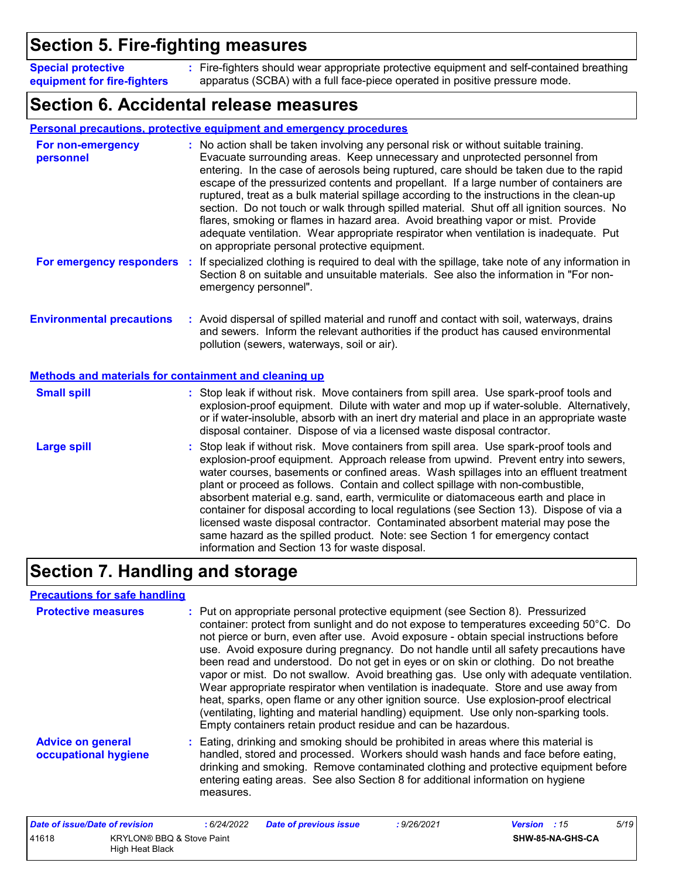## **Section 5. Fire-fighting measures**

**Special protective equipment for fire-fighters** Fire-fighters should wear appropriate protective equipment and self-contained breathing **:** apparatus (SCBA) with a full face-piece operated in positive pressure mode.

## **Section 6. Accidental release measures**

|                                                                                                  | <b>Personal precautions, protective equipment and emergency procedures</b>                                                                                                                                                                                                                                                                                                                                                                                                                                                                                                                                                                                                                                                                                                       |
|--------------------------------------------------------------------------------------------------|----------------------------------------------------------------------------------------------------------------------------------------------------------------------------------------------------------------------------------------------------------------------------------------------------------------------------------------------------------------------------------------------------------------------------------------------------------------------------------------------------------------------------------------------------------------------------------------------------------------------------------------------------------------------------------------------------------------------------------------------------------------------------------|
| For non-emergency<br>personnel                                                                   | : No action shall be taken involving any personal risk or without suitable training.<br>Evacuate surrounding areas. Keep unnecessary and unprotected personnel from<br>entering. In the case of aerosols being ruptured, care should be taken due to the rapid<br>escape of the pressurized contents and propellant. If a large number of containers are<br>ruptured, treat as a bulk material spillage according to the instructions in the clean-up<br>section. Do not touch or walk through spilled material. Shut off all ignition sources. No<br>flares, smoking or flames in hazard area. Avoid breathing vapor or mist. Provide<br>adequate ventilation. Wear appropriate respirator when ventilation is inadequate. Put<br>on appropriate personal protective equipment. |
| For emergency responders                                                                         | If specialized clothing is required to deal with the spillage, take note of any information in<br>÷<br>Section 8 on suitable and unsuitable materials. See also the information in "For non-<br>emergency personnel".                                                                                                                                                                                                                                                                                                                                                                                                                                                                                                                                                            |
| <b>Environmental precautions</b><br><b>Methods and materials for containment and cleaning up</b> | : Avoid dispersal of spilled material and runoff and contact with soil, waterways, drains<br>and sewers. Inform the relevant authorities if the product has caused environmental<br>pollution (sewers, waterways, soil or air).                                                                                                                                                                                                                                                                                                                                                                                                                                                                                                                                                  |
| <b>Small spill</b>                                                                               | : Stop leak if without risk. Move containers from spill area. Use spark-proof tools and<br>explosion-proof equipment. Dilute with water and mop up if water-soluble. Alternatively,<br>or if water-insoluble, absorb with an inert dry material and place in an appropriate waste<br>disposal container. Dispose of via a licensed waste disposal contractor.                                                                                                                                                                                                                                                                                                                                                                                                                    |
| <b>Large spill</b>                                                                               | : Stop leak if without risk. Move containers from spill area. Use spark-proof tools and<br>explosion-proof equipment. Approach release from upwind. Prevent entry into sewers,<br>water courses, basements or confined areas. Wash spillages into an effluent treatment<br>plant or proceed as follows. Contain and collect spillage with non-combustible,<br>absorbent material e.g. sand, earth, vermiculite or diatomaceous earth and place in<br>container for disposal according to local regulations (see Section 13). Dispose of via a<br>licensed waste disposal contractor. Contaminated absorbent material may pose the<br>same hazard as the spilled product. Note: see Section 1 for emergency contact<br>information and Section 13 for waste disposal.             |

# **Section 7. Handling and storage**

#### **Precautions for safe handling**

| <b>Protective measures</b>                       | : Put on appropriate personal protective equipment (see Section 8). Pressurized<br>container: protect from sunlight and do not expose to temperatures exceeding 50°C. Do<br>not pierce or burn, even after use. Avoid exposure - obtain special instructions before<br>use. Avoid exposure during pregnancy. Do not handle until all safety precautions have<br>been read and understood. Do not get in eyes or on skin or clothing. Do not breathe<br>vapor or mist. Do not swallow. Avoid breathing gas. Use only with adequate ventilation.<br>Wear appropriate respirator when ventilation is inadequate. Store and use away from<br>heat, sparks, open flame or any other ignition source. Use explosion-proof electrical<br>(ventilating, lighting and material handling) equipment. Use only non-sparking tools.<br>Empty containers retain product residue and can be hazardous. |
|--------------------------------------------------|------------------------------------------------------------------------------------------------------------------------------------------------------------------------------------------------------------------------------------------------------------------------------------------------------------------------------------------------------------------------------------------------------------------------------------------------------------------------------------------------------------------------------------------------------------------------------------------------------------------------------------------------------------------------------------------------------------------------------------------------------------------------------------------------------------------------------------------------------------------------------------------|
| <b>Advice on general</b><br>occupational hygiene | : Eating, drinking and smoking should be prohibited in areas where this material is<br>handled, stored and processed. Workers should wash hands and face before eating,<br>drinking and smoking. Remove contaminated clothing and protective equipment before<br>entering eating areas. See also Section 8 for additional information on hygiene<br>measures.                                                                                                                                                                                                                                                                                                                                                                                                                                                                                                                            |

| Date of issue/Date of revision |                                              | : 6/24/2022 | <b>Date of previous issue</b> | : 9/26/2021 | <b>Version</b> : 15 |                  | 5/19 |
|--------------------------------|----------------------------------------------|-------------|-------------------------------|-------------|---------------------|------------------|------|
| 41618                          | KRYLON® BBQ & Stove Paint<br>High Heat Black |             |                               |             |                     | SHW-85-NA-GHS-CA |      |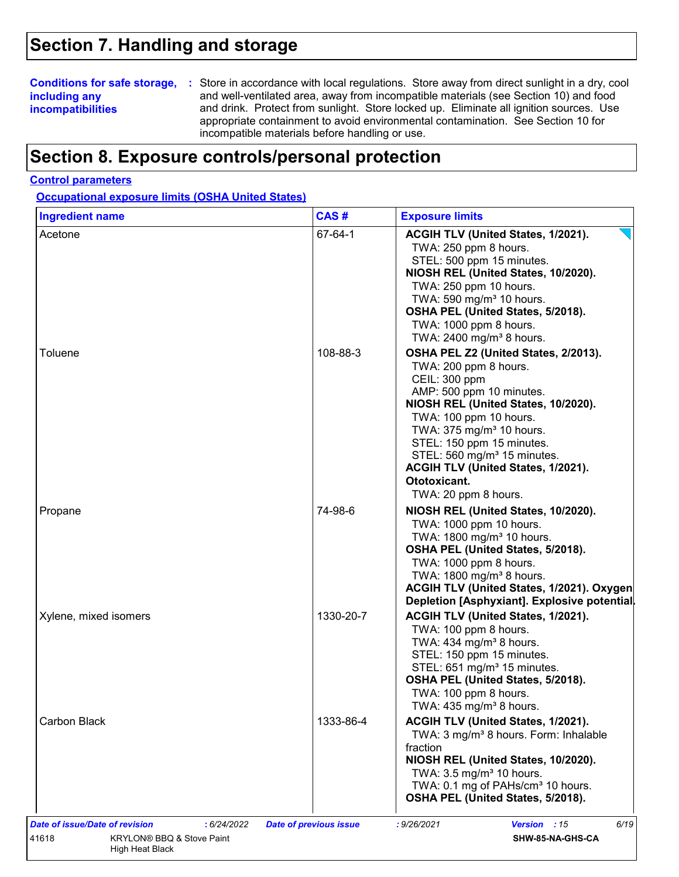## **Section 7. Handling and storage**

### **including any incompatibilities**

**Conditions for safe storage,** : Store in accordance with local regulations. Store away from direct sunlight in a dry, cool and well-ventilated area, away from incompatible materials (see Section 10) and food and drink. Protect from sunlight. Store locked up. Eliminate all ignition sources. Use appropriate containment to avoid environmental contamination. See Section 10 for incompatible materials before handling or use.

## **Section 8. Exposure controls/personal protection**

#### **Control parameters**

**Occupational exposure limits (OSHA United States)**

| <b>Ingredient name</b> | CAS#      | <b>Exposure limits</b>                                                                                                                                                                                                                                                                                                                                                    |
|------------------------|-----------|---------------------------------------------------------------------------------------------------------------------------------------------------------------------------------------------------------------------------------------------------------------------------------------------------------------------------------------------------------------------------|
| Acetone                | 67-64-1   | ACGIH TLV (United States, 1/2021).<br>TWA: 250 ppm 8 hours.<br>STEL: 500 ppm 15 minutes.<br>NIOSH REL (United States, 10/2020).<br>TWA: 250 ppm 10 hours.<br>TWA: 590 mg/m <sup>3</sup> 10 hours.<br>OSHA PEL (United States, 5/2018).<br>TWA: 1000 ppm 8 hours.<br>TWA: 2400 mg/m <sup>3</sup> 8 hours.                                                                  |
| Toluene                | 108-88-3  | OSHA PEL Z2 (United States, 2/2013).<br>TWA: 200 ppm 8 hours.<br>CEIL: 300 ppm<br>AMP: 500 ppm 10 minutes.<br>NIOSH REL (United States, 10/2020).<br>TWA: 100 ppm 10 hours.<br>TWA: 375 mg/m <sup>3</sup> 10 hours.<br>STEL: 150 ppm 15 minutes.<br>STEL: 560 mg/m <sup>3</sup> 15 minutes.<br>ACGIH TLV (United States, 1/2021).<br>Ototoxicant.<br>TWA: 20 ppm 8 hours. |
| Propane                | 74-98-6   | NIOSH REL (United States, 10/2020).<br>TWA: 1000 ppm 10 hours.<br>TWA: 1800 mg/m <sup>3</sup> 10 hours.<br>OSHA PEL (United States, 5/2018).<br>TWA: 1000 ppm 8 hours.<br>TWA: 1800 mg/m <sup>3</sup> 8 hours.<br>ACGIH TLV (United States, 1/2021). Oxygen<br>Depletion [Asphyxiant]. Explosive potential                                                                |
| Xylene, mixed isomers  | 1330-20-7 | ACGIH TLV (United States, 1/2021).<br>TWA: 100 ppm 8 hours.<br>TWA: $434$ mg/m <sup>3</sup> 8 hours.<br>STEL: 150 ppm 15 minutes.<br>STEL: 651 mg/m <sup>3</sup> 15 minutes.<br>OSHA PEL (United States, 5/2018).<br>TWA: 100 ppm 8 hours.<br>TWA: $435 \text{ mg/m}^3$ 8 hours.                                                                                          |
| Carbon Black           | 1333-86-4 | ACGIH TLV (United States, 1/2021).<br>TWA: 3 mg/m <sup>3</sup> 8 hours. Form: Inhalable<br>fraction<br>NIOSH REL (United States, 10/2020).<br>TWA: 3.5 mg/m <sup>3</sup> 10 hours.<br>TWA: 0.1 mg of PAHs/cm <sup>3</sup> 10 hours.<br>OSHA PEL (United States, 5/2018).                                                                                                  |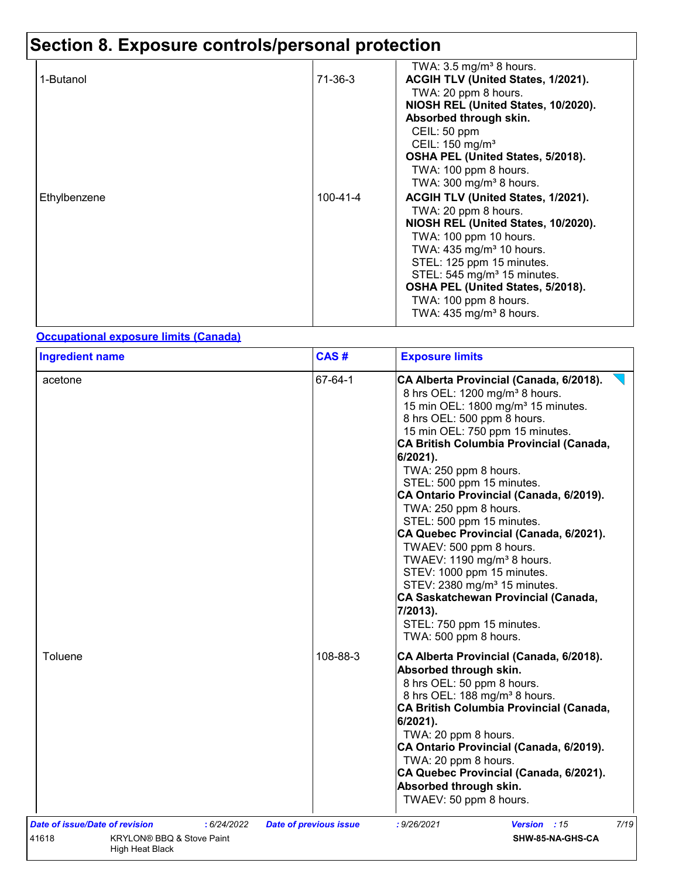| 1-Butanol    | 71-36-3  | TWA: $3.5 \text{ mg/m}^3$ 8 hours.<br>ACGIH TLV (United States, 1/2021).<br>TWA: 20 ppm 8 hours.                                                                                                                                                                                                                                               |
|--------------|----------|------------------------------------------------------------------------------------------------------------------------------------------------------------------------------------------------------------------------------------------------------------------------------------------------------------------------------------------------|
|              |          | NIOSH REL (United States, 10/2020).<br>Absorbed through skin.<br>CEIL: 50 ppm<br>CEIL: 150 mg/m <sup>3</sup><br>OSHA PEL (United States, 5/2018).<br>TWA: 100 ppm 8 hours.<br>TWA: $300 \text{ mg/m}^3$ 8 hours.                                                                                                                               |
| Ethylbenzene | 100-41-4 | ACGIH TLV (United States, 1/2021).<br>TWA: 20 ppm 8 hours.<br>NIOSH REL (United States, 10/2020).<br>TWA: 100 ppm 10 hours.<br>TWA: $435 \text{ mg/m}^3$ 10 hours.<br>STEL: 125 ppm 15 minutes.<br>STEL: 545 mg/m <sup>3</sup> 15 minutes.<br>OSHA PEL (United States, 5/2018).<br>TWA: 100 ppm 8 hours.<br>TWA: $435 \text{ mg/m}^3$ 8 hours. |

#### **Occupational exposure limits (Canada)**

| acetone                                                                             | 67-64-1                       |                                                                                                                                                                                                                                                                                                                                                                                                                                                                                                                                                                                                                                                                                                                                                                   |  |  |
|-------------------------------------------------------------------------------------|-------------------------------|-------------------------------------------------------------------------------------------------------------------------------------------------------------------------------------------------------------------------------------------------------------------------------------------------------------------------------------------------------------------------------------------------------------------------------------------------------------------------------------------------------------------------------------------------------------------------------------------------------------------------------------------------------------------------------------------------------------------------------------------------------------------|--|--|
|                                                                                     |                               | <b>Exposure limits</b><br>CA Alberta Provincial (Canada, 6/2018).<br>8 hrs OEL: 1200 mg/m <sup>3</sup> 8 hours.<br>15 min OEL: 1800 mg/m <sup>3</sup> 15 minutes.<br>8 hrs OEL: 500 ppm 8 hours.<br>15 min OEL: 750 ppm 15 minutes.<br><b>CA British Columbia Provincial (Canada,</b><br>6/2021).<br>TWA: 250 ppm 8 hours.<br>STEL: 500 ppm 15 minutes.<br>CA Ontario Provincial (Canada, 6/2019).<br>TWA: 250 ppm 8 hours.<br>STEL: 500 ppm 15 minutes.<br>CA Quebec Provincial (Canada, 6/2021).<br>TWAEV: 500 ppm 8 hours.<br>TWAEV: 1190 mg/m <sup>3</sup> 8 hours.<br>STEV: 1000 ppm 15 minutes.<br>STEV: 2380 mg/m <sup>3</sup> 15 minutes.<br><b>CA Saskatchewan Provincial (Canada,</b><br>7/2013).<br>STEL: 750 ppm 15 minutes.<br>TWA: 500 ppm 8 hours. |  |  |
| Toluene                                                                             | 108-88-3                      | CA Alberta Provincial (Canada, 6/2018).<br>Absorbed through skin.<br>8 hrs OEL: 50 ppm 8 hours.<br>8 hrs OEL: 188 mg/m <sup>3</sup> 8 hours.<br>CA British Columbia Provincial (Canada,<br>6/2021).<br>TWA: 20 ppm 8 hours.<br>CA Ontario Provincial (Canada, 6/2019).<br>TWA: 20 ppm 8 hours.<br>CA Quebec Provincial (Canada, 6/2021).<br>Absorbed through skin.<br>TWAEV: 50 ppm 8 hours.                                                                                                                                                                                                                                                                                                                                                                      |  |  |
| Date of issue/Date of revision<br>: 6/24/2022<br>41618<br>KRYLON® BBQ & Stove Paint | <b>Date of previous issue</b> | 7/19<br>: 9/26/2021<br>Version : 15<br>SHW-85-NA-GHS-CA                                                                                                                                                                                                                                                                                                                                                                                                                                                                                                                                                                                                                                                                                                           |  |  |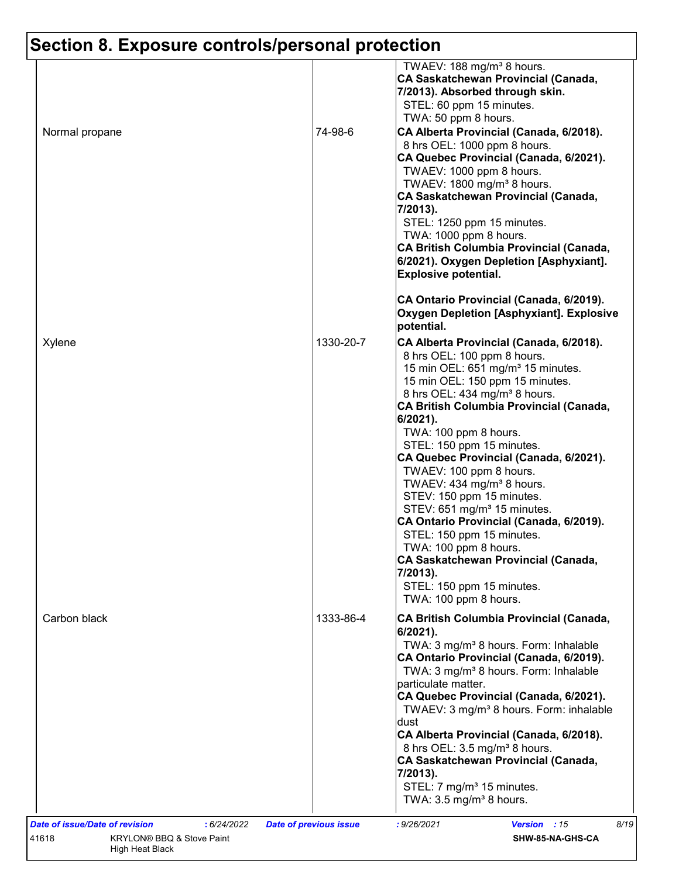| Normal propane | 74-98-6   | TWAEV: 188 mg/m <sup>3</sup> 8 hours.<br>CA Saskatchewan Provincial (Canada,<br>7/2013). Absorbed through skin.<br>STEL: 60 ppm 15 minutes.<br>TWA: 50 ppm 8 hours.<br>CA Alberta Provincial (Canada, 6/2018).<br>8 hrs OEL: 1000 ppm 8 hours.<br>CA Quebec Provincial (Canada, 6/2021).<br>TWAEV: 1000 ppm 8 hours.<br>TWAEV: 1800 mg/m <sup>3</sup> 8 hours.<br>CA Saskatchewan Provincial (Canada,                                                                                                                                                              |
|----------------|-----------|--------------------------------------------------------------------------------------------------------------------------------------------------------------------------------------------------------------------------------------------------------------------------------------------------------------------------------------------------------------------------------------------------------------------------------------------------------------------------------------------------------------------------------------------------------------------|
|                |           | 7/2013).<br>STEL: 1250 ppm 15 minutes.<br>TWA: 1000 ppm 8 hours.<br>CA British Columbia Provincial (Canada,<br>6/2021). Oxygen Depletion [Asphyxiant].<br><b>Explosive potential.</b><br>CA Ontario Provincial (Canada, 6/2019).                                                                                                                                                                                                                                                                                                                                   |
|                |           | Oxygen Depletion [Asphyxiant]. Explosive<br>potential.                                                                                                                                                                                                                                                                                                                                                                                                                                                                                                             |
| Xylene         | 1330-20-7 | CA Alberta Provincial (Canada, 6/2018).<br>8 hrs OEL: 100 ppm 8 hours.<br>15 min OEL: 651 mg/m <sup>3</sup> 15 minutes.<br>15 min OEL: 150 ppm 15 minutes.<br>8 hrs OEL: 434 mg/m <sup>3</sup> 8 hours.<br>CA British Columbia Provincial (Canada,<br>6/2021).                                                                                                                                                                                                                                                                                                     |
|                |           | TWA: 100 ppm 8 hours.<br>STEL: 150 ppm 15 minutes.<br>CA Quebec Provincial (Canada, 6/2021).<br>TWAEV: 100 ppm 8 hours.<br>TWAEV: $434$ mg/m <sup>3</sup> 8 hours.<br>STEV: 150 ppm 15 minutes.<br>STEV: 651 mg/m <sup>3</sup> 15 minutes.<br>CA Ontario Provincial (Canada, 6/2019).<br>STEL: 150 ppm 15 minutes.<br>TWA: 100 ppm 8 hours.<br>CA Saskatchewan Provincial (Canada,<br>7/2013).<br>STEL: 150 ppm 15 minutes.<br>TWA: 100 ppm 8 hours.                                                                                                               |
| Carbon black   | 1333-86-4 | CA British Columbia Provincial (Canada,<br>6/2021).<br>TWA: 3 mg/m <sup>3</sup> 8 hours. Form: Inhalable<br>CA Ontario Provincial (Canada, 6/2019).<br>TWA: 3 mg/m <sup>3</sup> 8 hours. Form: Inhalable<br>particulate matter.<br>CA Quebec Provincial (Canada, 6/2021).<br>TWAEV: 3 mg/m <sup>3</sup> 8 hours. Form: inhalable<br>dust<br>CA Alberta Provincial (Canada, 6/2018).<br>8 hrs OEL: 3.5 mg/m <sup>3</sup> 8 hours.<br>CA Saskatchewan Provincial (Canada,<br>7/2013).<br>STEL: 7 mg/m <sup>3</sup> 15 minutes.<br>TWA: $3.5 \text{ mg/m}^3$ 8 hours. |
|                |           |                                                                                                                                                                                                                                                                                                                                                                                                                                                                                                                                                                    |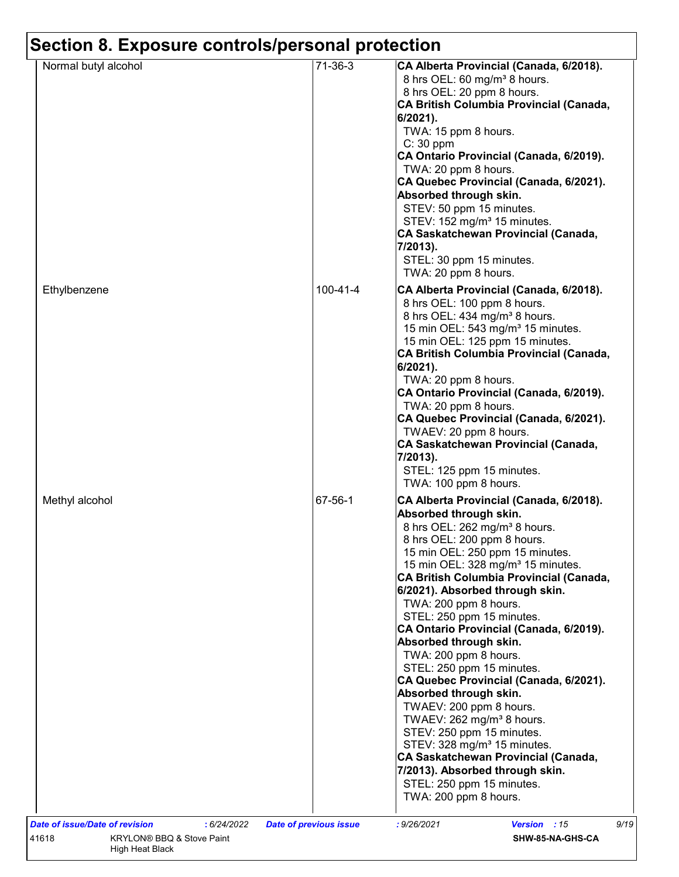| 71-36-3<br>Normal butyl alcohol<br>8 hrs OEL: 60 mg/m <sup>3</sup> 8 hours.<br>8 hrs OEL: 20 ppm 8 hours.<br>6/2021).<br>TWA: 15 ppm 8 hours.<br>$C: 30$ ppm<br>TWA: 20 ppm 8 hours.<br>Absorbed through skin.<br>STEV: 50 ppm 15 minutes.<br>STEV: 152 mg/m <sup>3</sup> 15 minutes.<br>7/2013).<br>STEL: 30 ppm 15 minutes.<br>TWA: 20 ppm 8 hours.<br>100-41-4<br>8 hrs OEL: 100 ppm 8 hours.<br>8 hrs OEL: 434 mg/m <sup>3</sup> 8 hours.<br>15 min OEL: 543 mg/m <sup>3</sup> 15 minutes.<br>15 min OEL: 125 ppm 15 minutes.<br>6/2021).<br>TWA: 20 ppm 8 hours.<br>TWA: 20 ppm 8 hours.<br>TWAEV: 20 ppm 8 hours.<br>7/2013).<br>STEL: 125 ppm 15 minutes.<br>TWA: 100 ppm 8 hours.<br>67-56-1<br>Absorbed through skin.<br>8 hrs OEL: 262 mg/m <sup>3</sup> 8 hours.<br>8 hrs OEL: 200 ppm 8 hours.<br>15 min OEL: 250 ppm 15 minutes.<br>15 min OEL: 328 mg/m <sup>3</sup> 15 minutes.<br>6/2021). Absorbed through skin.<br>TWA: 200 ppm 8 hours.<br>STEL: 250 ppm 15 minutes.<br>Absorbed through skin.<br>TWA: 200 ppm 8 hours.<br>STEL: 250 ppm 15 minutes.<br>Absorbed through skin.<br>TWAEV: 200 ppm 8 hours.<br>TWAEV: 262 mg/m <sup>3</sup> 8 hours. | CA Alberta Provincial (Canada, 6/2018).                                                                                                                                                                        |  |
|-----------------------------------------------------------------------------------------------------------------------------------------------------------------------------------------------------------------------------------------------------------------------------------------------------------------------------------------------------------------------------------------------------------------------------------------------------------------------------------------------------------------------------------------------------------------------------------------------------------------------------------------------------------------------------------------------------------------------------------------------------------------------------------------------------------------------------------------------------------------------------------------------------------------------------------------------------------------------------------------------------------------------------------------------------------------------------------------------------------------------------------------------------------------------|----------------------------------------------------------------------------------------------------------------------------------------------------------------------------------------------------------------|--|
| Ethylbenzene                                                                                                                                                                                                                                                                                                                                                                                                                                                                                                                                                                                                                                                                                                                                                                                                                                                                                                                                                                                                                                                                                                                                                          | CA British Columbia Provincial (Canada,<br>CA Ontario Provincial (Canada, 6/2019).<br>CA Quebec Provincial (Canada, 6/2021).<br>CA Saskatchewan Provincial (Canada,                                            |  |
| Methyl alcohol                                                                                                                                                                                                                                                                                                                                                                                                                                                                                                                                                                                                                                                                                                                                                                                                                                                                                                                                                                                                                                                                                                                                                        | CA Alberta Provincial (Canada, 6/2018).<br>CA British Columbia Provincial (Canada,<br>CA Ontario Provincial (Canada, 6/2019).<br>CA Quebec Provincial (Canada, 6/2021).<br>CA Saskatchewan Provincial (Canada, |  |
| STEV: 250 ppm 15 minutes.<br>STEV: 328 mg/m <sup>3</sup> 15 minutes.<br>7/2013). Absorbed through skin.<br>STEL: 250 ppm 15 minutes.<br>TWA: 200 ppm 8 hours.                                                                                                                                                                                                                                                                                                                                                                                                                                                                                                                                                                                                                                                                                                                                                                                                                                                                                                                                                                                                         | CA Alberta Provincial (Canada, 6/2018).<br>CA British Columbia Provincial (Canada,<br>CA Ontario Provincial (Canada, 6/2019).<br>CA Quebec Provincial (Canada, 6/2021).<br>CA Saskatchewan Provincial (Canada, |  |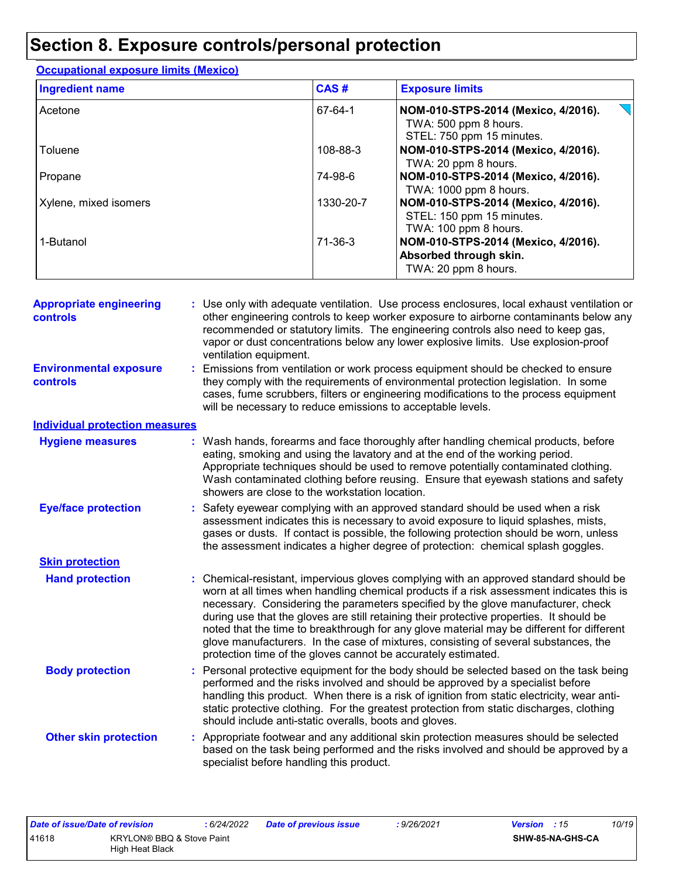| <b>Ingredient name</b> | CAS#          | <b>Exposure limits</b>                                                                    |
|------------------------|---------------|-------------------------------------------------------------------------------------------|
| Acetone                | 67-64-1       | NOM-010-STPS-2014 (Mexico, 4/2016).<br>TWA: 500 ppm 8 hours.<br>STEL: 750 ppm 15 minutes. |
| Toluene                | 108-88-3      | NOM-010-STPS-2014 (Mexico, 4/2016).<br>TWA: 20 ppm 8 hours.                               |
| Propane                | 74-98-6       | NOM-010-STPS-2014 (Mexico, 4/2016).<br>TWA: 1000 ppm 8 hours.                             |
| Xylene, mixed isomers  | 1330-20-7     | NOM-010-STPS-2014 (Mexico, 4/2016).<br>STEL: 150 ppm 15 minutes.<br>TWA: 100 ppm 8 hours. |
| 1-Butanol              | $71 - 36 - 3$ | NOM-010-STPS-2014 (Mexico, 4/2016).<br>Absorbed through skin.<br>TWA: 20 ppm 8 hours.     |

**Occupational exposure limits (Mexico)**

| <b>Appropriate engineering</b><br><b>controls</b> | : Use only with adequate ventilation. Use process enclosures, local exhaust ventilation or<br>other engineering controls to keep worker exposure to airborne contaminants below any<br>recommended or statutory limits. The engineering controls also need to keep gas,<br>vapor or dust concentrations below any lower explosive limits. Use explosion-proof<br>ventilation equipment.                                                                                                                                                                                                                                |
|---------------------------------------------------|------------------------------------------------------------------------------------------------------------------------------------------------------------------------------------------------------------------------------------------------------------------------------------------------------------------------------------------------------------------------------------------------------------------------------------------------------------------------------------------------------------------------------------------------------------------------------------------------------------------------|
| <b>Environmental exposure</b><br>controls         | : Emissions from ventilation or work process equipment should be checked to ensure<br>they comply with the requirements of environmental protection legislation. In some<br>cases, fume scrubbers, filters or engineering modifications to the process equipment<br>will be necessary to reduce emissions to acceptable levels.                                                                                                                                                                                                                                                                                        |
| <b>Individual protection measures</b>             |                                                                                                                                                                                                                                                                                                                                                                                                                                                                                                                                                                                                                        |
| <b>Hygiene measures</b>                           | : Wash hands, forearms and face thoroughly after handling chemical products, before<br>eating, smoking and using the lavatory and at the end of the working period.<br>Appropriate techniques should be used to remove potentially contaminated clothing.<br>Wash contaminated clothing before reusing. Ensure that eyewash stations and safety<br>showers are close to the workstation location.                                                                                                                                                                                                                      |
| <b>Eye/face protection</b>                        | : Safety eyewear complying with an approved standard should be used when a risk<br>assessment indicates this is necessary to avoid exposure to liquid splashes, mists,<br>gases or dusts. If contact is possible, the following protection should be worn, unless<br>the assessment indicates a higher degree of protection: chemical splash goggles.                                                                                                                                                                                                                                                                  |
| <b>Skin protection</b>                            |                                                                                                                                                                                                                                                                                                                                                                                                                                                                                                                                                                                                                        |
| <b>Hand protection</b>                            | : Chemical-resistant, impervious gloves complying with an approved standard should be<br>worn at all times when handling chemical products if a risk assessment indicates this is<br>necessary. Considering the parameters specified by the glove manufacturer, check<br>during use that the gloves are still retaining their protective properties. It should be<br>noted that the time to breakthrough for any glove material may be different for different<br>glove manufacturers. In the case of mixtures, consisting of several substances, the<br>protection time of the gloves cannot be accurately estimated. |
| <b>Body protection</b>                            | : Personal protective equipment for the body should be selected based on the task being<br>performed and the risks involved and should be approved by a specialist before<br>handling this product. When there is a risk of ignition from static electricity, wear anti-<br>static protective clothing. For the greatest protection from static discharges, clothing<br>should include anti-static overalls, boots and gloves.                                                                                                                                                                                         |
| <b>Other skin protection</b>                      | : Appropriate footwear and any additional skin protection measures should be selected<br>based on the task being performed and the risks involved and should be approved by a<br>specialist before handling this product.                                                                                                                                                                                                                                                                                                                                                                                              |

| Date of issue/Date of revision |                           | : 6/24/2022 | Date of previous issue | : 9/26/2021 | 10/19  <br><b>Version</b> : 15 |
|--------------------------------|---------------------------|-------------|------------------------|-------------|--------------------------------|
| 41618                          | KRYLON® BBQ & Stove Paint |             |                        |             | <b>SHW-85-NA-GHS-CA</b>        |
|                                | High Heat Black           |             |                        |             |                                |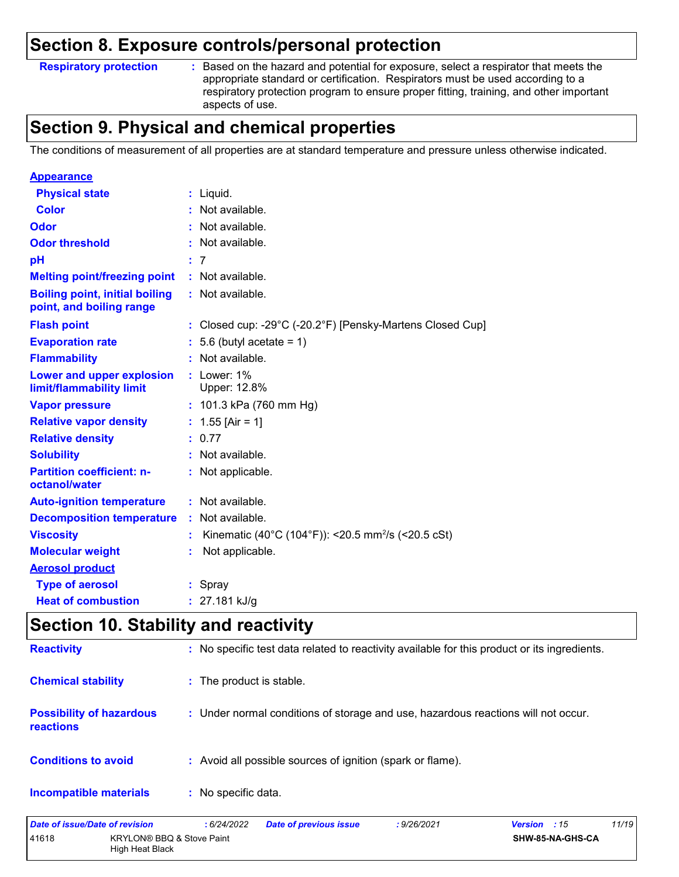#### **Respiratory protection :**

: Based on the hazard and potential for exposure, select a respirator that meets the appropriate standard or certification. Respirators must be used according to a respiratory protection program to ensure proper fitting, training, and other important aspects of use.

## **Section 9. Physical and chemical properties**

The conditions of measurement of all properties are at standard temperature and pressure unless otherwise indicated.

| <b>Appearance</b>                                                 |                                                                |
|-------------------------------------------------------------------|----------------------------------------------------------------|
| <b>Physical state</b>                                             | $:$ Liquid.                                                    |
| <b>Color</b>                                                      | : Not available.                                               |
| Odor                                                              | : Not available.                                               |
| <b>Odor threshold</b>                                             | Not available.                                                 |
| pH                                                                | : 7                                                            |
| <b>Melting point/freezing point</b>                               | $\therefore$ Not available.                                    |
| <b>Boiling point, initial boiling</b><br>point, and boiling range | : Not available.                                               |
| <b>Flash point</b>                                                | : Closed cup: -29°C (-20.2°F) [Pensky-Martens Closed Cup]      |
| <b>Evaporation rate</b>                                           | $: 5.6$ (butyl acetate = 1)                                    |
| <b>Flammability</b>                                               | : Not available.                                               |
| Lower and upper explosion<br>limit/flammability limit             | $:$ Lower: $1\%$<br>Upper: 12.8%                               |
| <b>Vapor pressure</b>                                             | : $101.3$ kPa (760 mm Hg)                                      |
| <b>Relative vapor density</b>                                     | : $1.55$ [Air = 1]                                             |
| <b>Relative density</b>                                           | : 0.77                                                         |
| <b>Solubility</b>                                                 | : Not available.                                               |
| <b>Partition coefficient: n-</b><br>octanol/water                 | : Not applicable.                                              |
| <b>Auto-ignition temperature</b>                                  | : Not available.                                               |
| <b>Decomposition temperature</b>                                  | Not available.                                                 |
| <b>Viscosity</b>                                                  | Kinematic (40°C (104°F)): <20.5 mm <sup>2</sup> /s (<20.5 cSt) |
| <b>Molecular weight</b>                                           | Not applicable.                                                |
| <b>Aerosol product</b>                                            |                                                                |
| <b>Type of aerosol</b>                                            | : Spray                                                        |
| <b>Heat of combustion</b>                                         | : $27.181$ kJ/g                                                |

## **Section 10. Stability and reactivity**

| <b>Incompatible materials</b>                       | : No specific data.                                                                          |
|-----------------------------------------------------|----------------------------------------------------------------------------------------------|
| <b>Conditions to avoid</b>                          | : Avoid all possible sources of ignition (spark or flame).                                   |
| <b>Possibility of hazardous</b><br><b>reactions</b> | : Under normal conditions of storage and use, hazardous reactions will not occur.            |
| <b>Chemical stability</b>                           | : The product is stable.                                                                     |
| <b>Reactivity</b>                                   | : No specific test data related to reactivity available for this product or its ingredients. |

| Date of issue/Date of revision |                                              | : 6/24/2022 | <b>Date of previous issue</b> | : 9/26/2021 | 11/19<br><b>Version</b> : 15 |
|--------------------------------|----------------------------------------------|-------------|-------------------------------|-------------|------------------------------|
| 41618                          | KRYLON® BBQ & Stove Paint<br>High Heat Black |             |                               |             | SHW-85-NA-GHS-CA             |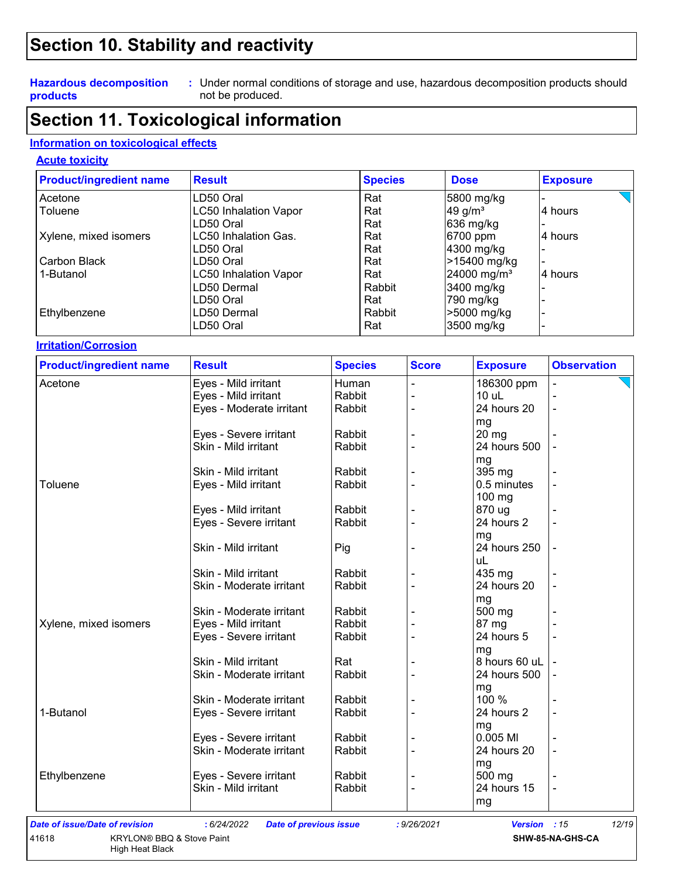## **Section 10. Stability and reactivity**

#### **Hazardous decomposition products**

Under normal conditions of storage and use, hazardous decomposition products should **:** not be produced.

## **Section 11. Toxicological information**

#### **Information on toxicological effects**

#### **Acute toxicity**

| <b>Product/ingredient name</b> | <b>Result</b>                | <b>Species</b> | <b>Dose</b>             | <b>Exposure</b> |
|--------------------------------|------------------------------|----------------|-------------------------|-----------------|
| Acetone                        | LD50 Oral                    | Rat            | 5800 mg/kg              |                 |
| Toluene                        | <b>LC50 Inhalation Vapor</b> | Rat            | $49$ g/m <sup>3</sup>   | 4 hours         |
|                                | LD50 Oral                    | Rat            | 636 mg/kg               |                 |
| Xylene, mixed isomers          | LC50 Inhalation Gas.         | Rat            | 6700 ppm                | 4 hours         |
|                                | LD50 Oral                    | Rat            | 4300 mg/kg              |                 |
| Carbon Black                   | LD50 Oral                    | Rat            | >15400 mg/kg            |                 |
| 1-Butanol                      | <b>LC50 Inhalation Vapor</b> | Rat            | 24000 mg/m <sup>3</sup> | 4 hours         |
|                                | LD50 Dermal                  | Rabbit         | 3400 mg/kg              |                 |
|                                | LD50 Oral                    | Rat            | 790 mg/kg               |                 |
| Ethylbenzene                   | LD50 Dermal                  | Rabbit         | >5000 mg/kg             |                 |
|                                | LD50 Oral                    | Rat            | 3500 mg/kg              |                 |

#### **Irritation/Corrosion**

| <b>Product/ingredient name</b> | <b>Result</b>            | <b>Species</b> | <b>Score</b> | <b>Exposure</b> | <b>Observation</b> |
|--------------------------------|--------------------------|----------------|--------------|-----------------|--------------------|
| Acetone                        | Eyes - Mild irritant     | Human          |              | 186300 ppm      |                    |
|                                | Eyes - Mild irritant     | Rabbit         |              | 10 uL           |                    |
|                                | Eyes - Moderate irritant | Rabbit         |              | 24 hours 20     |                    |
|                                |                          |                |              | mg              |                    |
|                                | Eyes - Severe irritant   | Rabbit         |              | 20 mg           |                    |
|                                | Skin - Mild irritant     | Rabbit         |              | 24 hours 500    |                    |
|                                |                          |                |              | mg              |                    |
|                                | Skin - Mild irritant     | Rabbit         |              | 395 mg          |                    |
| Toluene                        | Eyes - Mild irritant     | Rabbit         |              | 0.5 minutes     |                    |
|                                |                          |                |              | 100 mg          |                    |
|                                | Eyes - Mild irritant     | Rabbit         |              | 870 ug          |                    |
|                                | Eyes - Severe irritant   | Rabbit         |              | 24 hours 2      |                    |
|                                |                          |                |              | mg              |                    |
|                                | Skin - Mild irritant     | Pig            |              | 24 hours 250    |                    |
|                                |                          |                |              | uL              |                    |
|                                | Skin - Mild irritant     | Rabbit         |              | 435 mg          |                    |
|                                | Skin - Moderate irritant | Rabbit         |              | 24 hours 20     |                    |
|                                |                          |                |              | mg              |                    |
|                                | Skin - Moderate irritant | Rabbit         |              | 500 mg          |                    |
| Xylene, mixed isomers          | Eyes - Mild irritant     | Rabbit         |              | 87 mg           |                    |
|                                | Eyes - Severe irritant   | Rabbit         |              | 24 hours 5      |                    |
|                                |                          |                |              | mg              |                    |
|                                | Skin - Mild irritant     | Rat            |              | 8 hours 60 uL   |                    |
|                                | Skin - Moderate irritant | Rabbit         |              | 24 hours 500    |                    |
|                                |                          |                |              | mg              |                    |
|                                | Skin - Moderate irritant | Rabbit         |              | 100 %           |                    |
| 1-Butanol                      | Eyes - Severe irritant   | Rabbit         |              | 24 hours 2      |                    |
|                                |                          |                |              | mg              |                    |
|                                | Eyes - Severe irritant   | Rabbit         |              | 0.005 MI        |                    |
|                                | Skin - Moderate irritant | Rabbit         |              | 24 hours 20     |                    |
|                                |                          |                |              | mg              |                    |
| Ethylbenzene                   | Eyes - Severe irritant   | Rabbit         |              | 500 mg          |                    |
|                                | Skin - Mild irritant     | Rabbit         |              | 24 hours 15     |                    |
|                                |                          |                |              | mg              |                    |

### *Date of issue/Date of revision* **:** *6/24/2022 Date of previous issue : 9/26/2021 Version : 15 12/19*

High Heat Black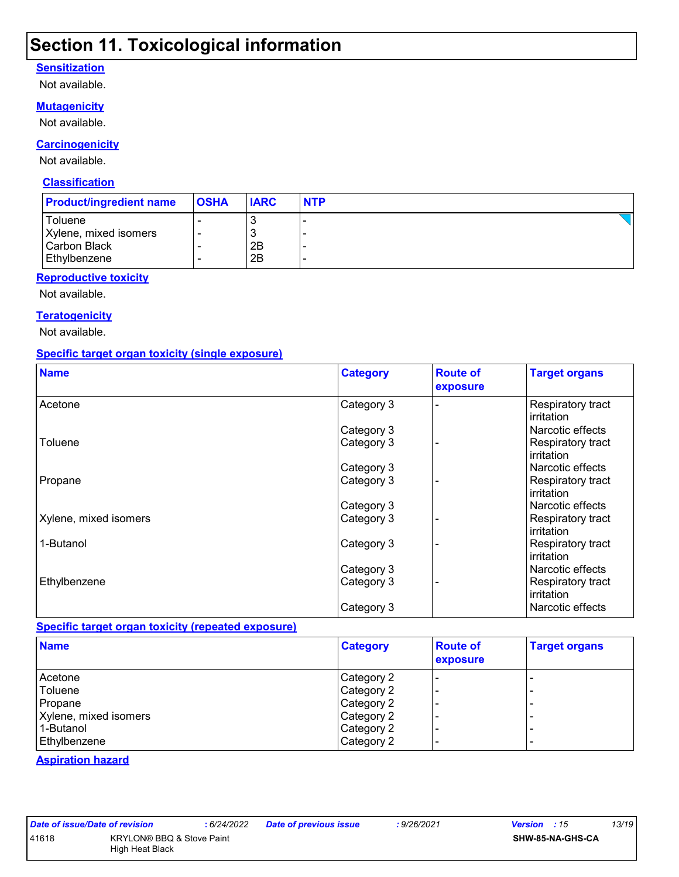## **Section 11. Toxicological information**

#### **Sensitization**

Not available.

#### **Mutagenicity**

Not available.

#### **Carcinogenicity**

Not available.

#### **Classification**

| <b>Product/ingredient name</b> | <b>OSHA</b> | <b>IARC</b> | <b>NTP</b> |
|--------------------------------|-------------|-------------|------------|
| Toluene                        |             | J.          |            |
| Xylene, mixed isomers          |             | 3           |            |
| Carbon Black                   |             | 2B          |            |
| Ethylbenzene                   |             | 2B          |            |

#### **Reproductive toxicity**

Not available.

#### **Teratogenicity**

Not available.

#### **Specific target organ toxicity (single exposure)**

| <b>Name</b>           | <b>Category</b> | <b>Route of</b><br>exposure | <b>Target organs</b>            |
|-----------------------|-----------------|-----------------------------|---------------------------------|
| Acetone               | Category 3      |                             | Respiratory tract<br>irritation |
|                       | Category 3      |                             | Narcotic effects                |
| Toluene               | Category 3      |                             | Respiratory tract<br>irritation |
|                       | Category 3      |                             | Narcotic effects                |
| Propane               | Category 3      |                             | Respiratory tract<br>irritation |
|                       | Category 3      |                             | Narcotic effects                |
| Xylene, mixed isomers | Category 3      |                             | Respiratory tract<br>irritation |
| 1-Butanol             | Category 3      |                             | Respiratory tract<br>irritation |
|                       | Category 3      |                             | Narcotic effects                |
| Ethylbenzene          | Category 3      |                             | Respiratory tract<br>irritation |
|                       | Category 3      |                             | Narcotic effects                |

#### **Specific target organ toxicity (repeated exposure)**

| <b>Name</b>           | <b>Category</b> | <b>Route of</b><br>exposure | <b>Target organs</b>     |
|-----------------------|-----------------|-----------------------------|--------------------------|
| Acetone               | Category 2      |                             | ۰                        |
| Toluene               | Category 2      | -                           | $\overline{\phantom{0}}$ |
| Propane               | Category 2      |                             | ۰                        |
| Xylene, mixed isomers | Category 2      | -                           | -                        |
| 1-Butanol             | Category 2      | -                           | -                        |
| Ethylbenzene          | Category 2      |                             | -                        |

#### **Aspiration hazard**

| <b>Date of issue/Date</b> |  |  |  |
|---------------------------|--|--|--|
| 11618                     |  |  |  |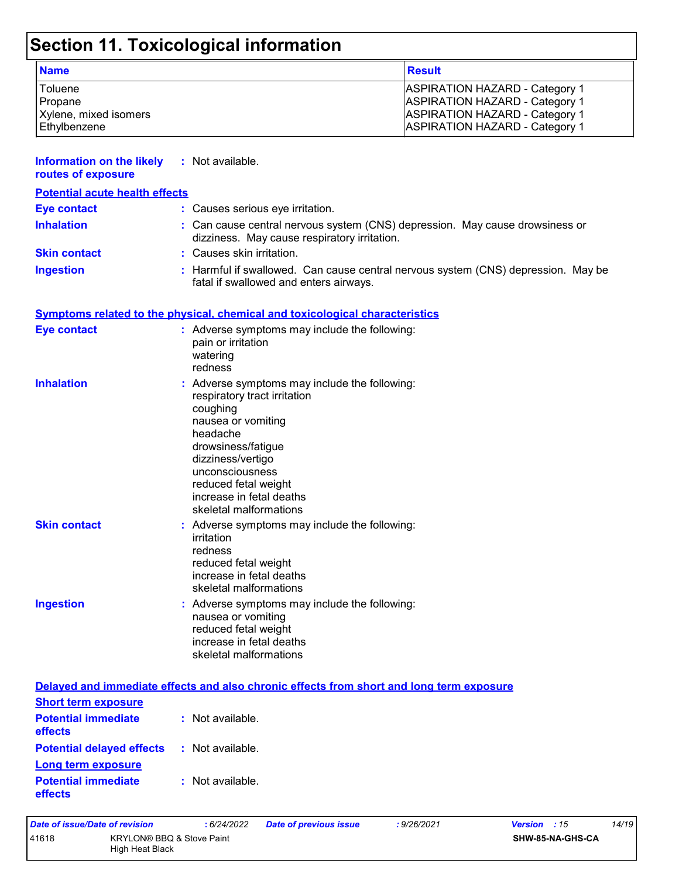# **Section 11. Toxicological information**

| <b>Name</b>           | <b>Result</b>                         |
|-----------------------|---------------------------------------|
| Toluene               | <b>ASPIRATION HAZARD - Category 1</b> |
| Propane               | <b>ASPIRATION HAZARD - Category 1</b> |
| Xylene, mixed isomers | <b>ASPIRATION HAZARD - Category 1</b> |
| Ethvlbenzene          | <b>ASPIRATION HAZARD - Category 1</b> |

| <b>Information on the likely</b><br>routes of exposure              | : Not available.                                                                                                                                                                                                                                                        |
|---------------------------------------------------------------------|-------------------------------------------------------------------------------------------------------------------------------------------------------------------------------------------------------------------------------------------------------------------------|
| <b>Potential acute health effects</b>                               |                                                                                                                                                                                                                                                                         |
| <b>Eye contact</b>                                                  | : Causes serious eye irritation.                                                                                                                                                                                                                                        |
| <b>Inhalation</b>                                                   | : Can cause central nervous system (CNS) depression. May cause drowsiness or<br>dizziness. May cause respiratory irritation.                                                                                                                                            |
| <b>Skin contact</b>                                                 | : Causes skin irritation.                                                                                                                                                                                                                                               |
| <b>Ingestion</b>                                                    | : Harmful if swallowed. Can cause central nervous system (CNS) depression. May be<br>fatal if swallowed and enters airways.                                                                                                                                             |
|                                                                     | <b>Symptoms related to the physical, chemical and toxicological characteristics</b>                                                                                                                                                                                     |
| <b>Eye contact</b>                                                  | : Adverse symptoms may include the following:<br>pain or irritation<br>watering<br>redness                                                                                                                                                                              |
| <b>Inhalation</b>                                                   | : Adverse symptoms may include the following:<br>respiratory tract irritation<br>coughing<br>nausea or vomiting<br>headache<br>drowsiness/fatigue<br>dizziness/vertigo<br>unconsciousness<br>reduced fetal weight<br>increase in fetal deaths<br>skeletal malformations |
| <b>Skin contact</b>                                                 | : Adverse symptoms may include the following:<br>irritation<br>redness<br>reduced fetal weight<br>increase in fetal deaths<br>skeletal malformations                                                                                                                    |
| <b>Ingestion</b>                                                    | : Adverse symptoms may include the following:<br>nausea or vomiting<br>reduced fetal weight<br>increase in fetal deaths<br>skeletal malformations                                                                                                                       |
|                                                                     | Delayed and immediate effects and also chronic effects from short and long term exposure                                                                                                                                                                                |
| <b>Short term exposure</b><br><b>Potential immediate</b><br>effects | : Not available.                                                                                                                                                                                                                                                        |
| <b>Potential delayed effects</b>                                    | : Not available.                                                                                                                                                                                                                                                        |

**Potential immediate effects :** Not available. **Long term exposure**

| Date of issue/Date of revision                        |  | : 6/24/2022 | <b>Date of previous issue</b> | : 9/26/2021 | <b>Version</b> : 15 |  | 14/19 |
|-------------------------------------------------------|--|-------------|-------------------------------|-------------|---------------------|--|-------|
| 41618<br>KRYLON® BBQ & Stove Paint<br>High Heat Black |  |             |                               |             | SHW-85-NA-GHS-CA    |  |       |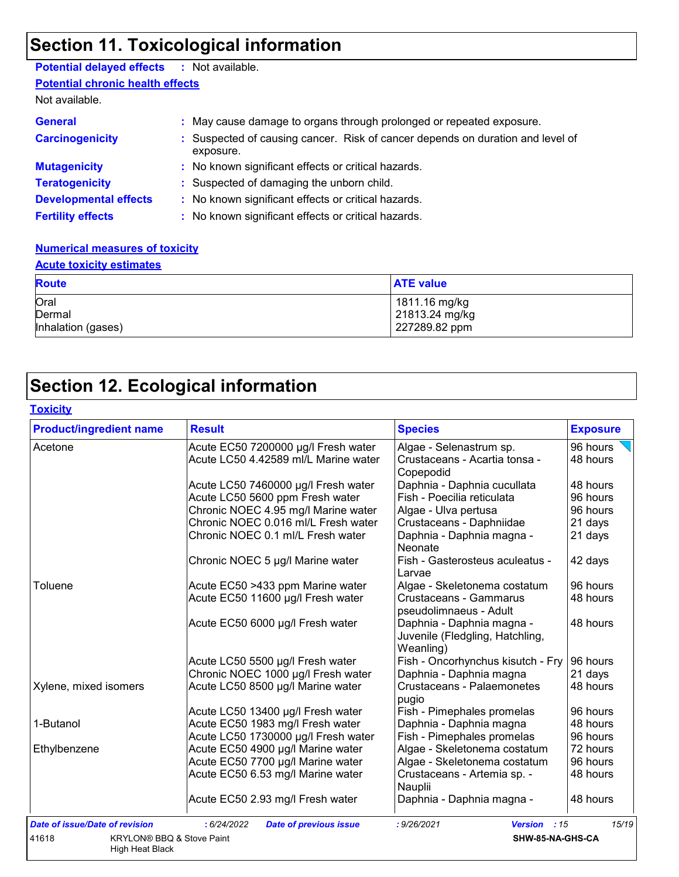## **Section 11. Toxicological information**

### **Potential delayed effects :** Not available.

**Potential chronic health effects**

Not available.

| <b>General</b><br><b>Carcinogenicity</b> | : May cause damage to organs through prolonged or repeated exposure.<br>: Suspected of causing cancer. Risk of cancer depends on duration and level of<br>exposure. |
|------------------------------------------|---------------------------------------------------------------------------------------------------------------------------------------------------------------------|
| <b>Mutagenicity</b>                      | : No known significant effects or critical hazards.                                                                                                                 |
| <b>Teratogenicity</b>                    | : Suspected of damaging the unborn child.                                                                                                                           |
| <b>Developmental effects</b>             | : No known significant effects or critical hazards.                                                                                                                 |
| <b>Fertility effects</b>                 | : No known significant effects or critical hazards.                                                                                                                 |

#### **Numerical measures of toxicity**

#### **Acute toxicity estimates**

| <b>Route</b>       | <b>ATE value</b> |
|--------------------|------------------|
| Oral               | 1811.16 mg/kg    |
| Dermal             | 21813.24 mg/kg   |
| Inhalation (gases) | 227289.82 ppm    |

# **Section 12. Ecological information**

#### **Toxicity**

| <b>Product/ingredient name</b>                | <b>Result</b>                                | <b>Species</b>                            | <b>Exposure</b> |
|-----------------------------------------------|----------------------------------------------|-------------------------------------------|-----------------|
| Acetone                                       | Acute EC50 7200000 µg/l Fresh water          | Algae - Selenastrum sp.                   | 96 hours        |
|                                               | Acute LC50 4.42589 ml/L Marine water         | Crustaceans - Acartia tonsa -             | 48 hours        |
|                                               |                                              | Copepodid                                 |                 |
|                                               | Acute LC50 7460000 µg/l Fresh water          | Daphnia - Daphnia cucullata               | 48 hours        |
|                                               | Acute LC50 5600 ppm Fresh water              | Fish - Poecilia reticulata                | 96 hours        |
|                                               | Chronic NOEC 4.95 mg/l Marine water          | Algae - Ulva pertusa                      | 96 hours        |
|                                               | Chronic NOEC 0.016 ml/L Fresh water          | Crustaceans - Daphniidae                  | 21 days         |
|                                               | Chronic NOEC 0.1 ml/L Fresh water            | Daphnia - Daphnia magna -<br>Neonate      | 21 days         |
|                                               | Chronic NOEC 5 µg/l Marine water             | Fish - Gasterosteus aculeatus -<br>Larvae | 42 days         |
| Toluene                                       | Acute EC50 >433 ppm Marine water             | Algae - Skeletonema costatum              | 96 hours        |
|                                               | Acute EC50 11600 µg/l Fresh water            | <b>Crustaceans - Gammarus</b>             | 48 hours        |
|                                               |                                              | pseudolimnaeus - Adult                    |                 |
|                                               | Acute EC50 6000 µg/l Fresh water             | Daphnia - Daphnia magna -                 | 48 hours        |
|                                               |                                              | Juvenile (Fledgling, Hatchling,           |                 |
|                                               |                                              | Weanling)                                 |                 |
|                                               | Acute LC50 5500 µg/l Fresh water             | Fish - Oncorhynchus kisutch - Fry         | 96 hours        |
|                                               | Chronic NOEC 1000 µg/l Fresh water           | Daphnia - Daphnia magna                   | 21 days         |
| Xylene, mixed isomers                         | Acute LC50 8500 µg/l Marine water            | <b>Crustaceans - Palaemonetes</b>         | 48 hours        |
|                                               |                                              | pugio                                     |                 |
|                                               | Acute LC50 13400 µg/l Fresh water            | Fish - Pimephales promelas                | 96 hours        |
| 1-Butanol                                     | Acute EC50 1983 mg/l Fresh water             | Daphnia - Daphnia magna                   | 48 hours        |
|                                               | Acute LC50 1730000 µg/l Fresh water          | Fish - Pimephales promelas                | 96 hours        |
| Ethylbenzene                                  | Acute EC50 4900 µg/l Marine water            | Algae - Skeletonema costatum              | 72 hours        |
|                                               | Acute EC50 7700 µg/l Marine water            | Algae - Skeletonema costatum              | 96 hours        |
|                                               | Acute EC50 6.53 mg/l Marine water            | Crustaceans - Artemia sp. -               | 48 hours        |
|                                               |                                              | Nauplii                                   |                 |
|                                               | Acute EC50 2.93 mg/l Fresh water             | Daphnia - Daphnia magna -                 | 48 hours        |
| <b>Date of issue/Date of revision</b>         | : 6/24/2022<br><b>Date of previous issue</b> | : 9/26/2021<br>Version : 15               | 15/19           |
| 41618<br><b>KRYLON® BBQ &amp; Stove Paint</b> |                                              | SHW-85-NA-GHS-CA                          |                 |
| High Heat Black                               |                                              |                                           |                 |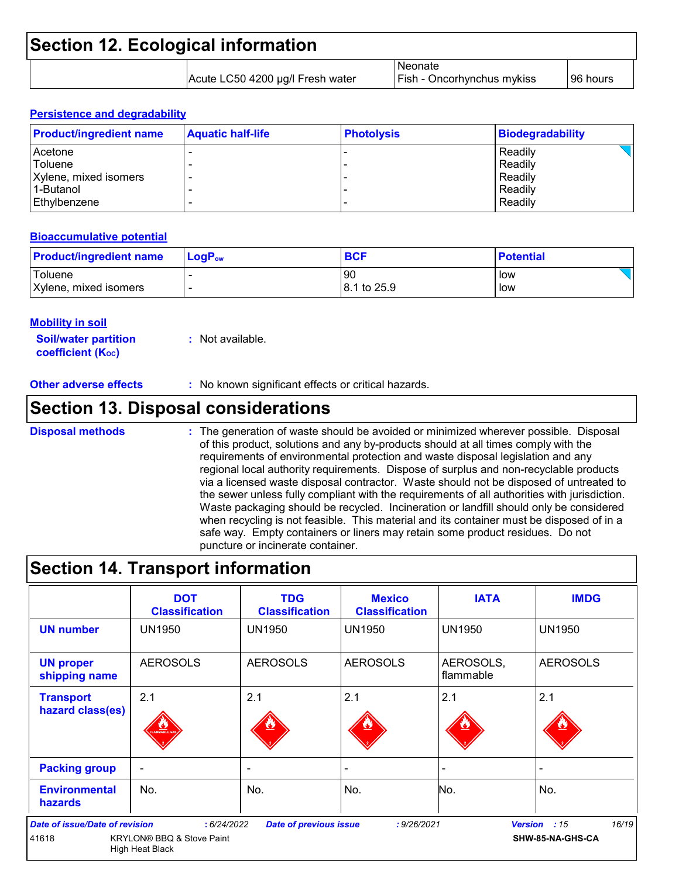| <b>Section 12. Ecological information</b> |                                  |                                       |           |
|-------------------------------------------|----------------------------------|---------------------------------------|-----------|
|                                           | Acute LC50 4200 µg/l Fresh water | Neonate<br>Fish - Oncorhynchus mykiss | 196 hours |

#### **Persistence and degradability**

| <b>Product/ingredient name</b> | <b>Aquatic half-life</b> | <b>Photolysis</b> | <b>Biodegradability</b> |
|--------------------------------|--------------------------|-------------------|-------------------------|
| l Acetone                      |                          |                   | Readily                 |
| Toluene                        |                          |                   | Readily                 |
| Xylene, mixed isomers          |                          |                   | Readily                 |
| 1-Butanol                      |                          |                   | Readily                 |
| l Ethvlbenzene                 |                          |                   | Readily                 |

#### **Bioaccumulative potential**

| <b>Product/ingredient name</b> | $\mathsf{LogP}_\mathsf{ow}$ | <b>BCF</b>              | <b>Potential</b> |
|--------------------------------|-----------------------------|-------------------------|------------------|
| Toluene                        |                             | <b>90</b>               | low              |
| Xylene, mixed isomers          |                             | $ 8.1 \text{ to } 25.9$ | low              |

#### **Mobility in soil**

**Soil/water partition coefficient (K**<sub>oc</sub>) **:** Not available.

**Other adverse effects** : No known significant effects or critical hazards.

## **Section 13. Disposal considerations**

#### **Disposal methods :**

The generation of waste should be avoided or minimized wherever possible. Disposal of this product, solutions and any by-products should at all times comply with the requirements of environmental protection and waste disposal legislation and any regional local authority requirements. Dispose of surplus and non-recyclable products via a licensed waste disposal contractor. Waste should not be disposed of untreated to the sewer unless fully compliant with the requirements of all authorities with jurisdiction. Waste packaging should be recycled. Incineration or landfill should only be considered when recycling is not feasible. This material and its container must be disposed of in a safe way. Empty containers or liners may retain some product residues. Do not puncture or incinerate container.

### **Section 14. Transport information**

|                                                | <b>DOT</b><br><b>Classification</b>                         | <b>TDG</b><br><b>Classification</b> | <b>Mexico</b><br><b>Classification</b> | <b>IATA</b>            | <b>IMDG</b>                      |
|------------------------------------------------|-------------------------------------------------------------|-------------------------------------|----------------------------------------|------------------------|----------------------------------|
| <b>UN number</b>                               | <b>UN1950</b>                                               | UN1950                              | UN1950                                 | <b>UN1950</b>          | <b>UN1950</b>                    |
| <b>UN proper</b><br>shipping name              | <b>AEROSOLS</b>                                             | <b>AEROSOLS</b>                     | <b>AEROSOLS</b>                        | AEROSOLS,<br>flammable | <b>AEROSOLS</b>                  |
| <b>Transport</b><br>hazard class(es)           | 2.1<br>AMMABLE GA                                           | 2.1                                 | 2.1                                    | 2.1                    | 2.1                              |
| <b>Packing group</b>                           |                                                             | $\overline{\phantom{0}}$            |                                        |                        |                                  |
| <b>Environmental</b><br><b>hazards</b>         | No.                                                         | No.                                 | No.                                    | No.                    | No.                              |
| <b>Date of issue/Date of revision</b><br>41618 | : 6/24/2022<br>KRYLON® BBQ & Stove Paint<br>High Heat Black | <b>Date of previous issue</b>       | : 9/26/2021                            | <b>Version</b>         | 16/19<br>:15<br>SHW-85-NA-GHS-CA |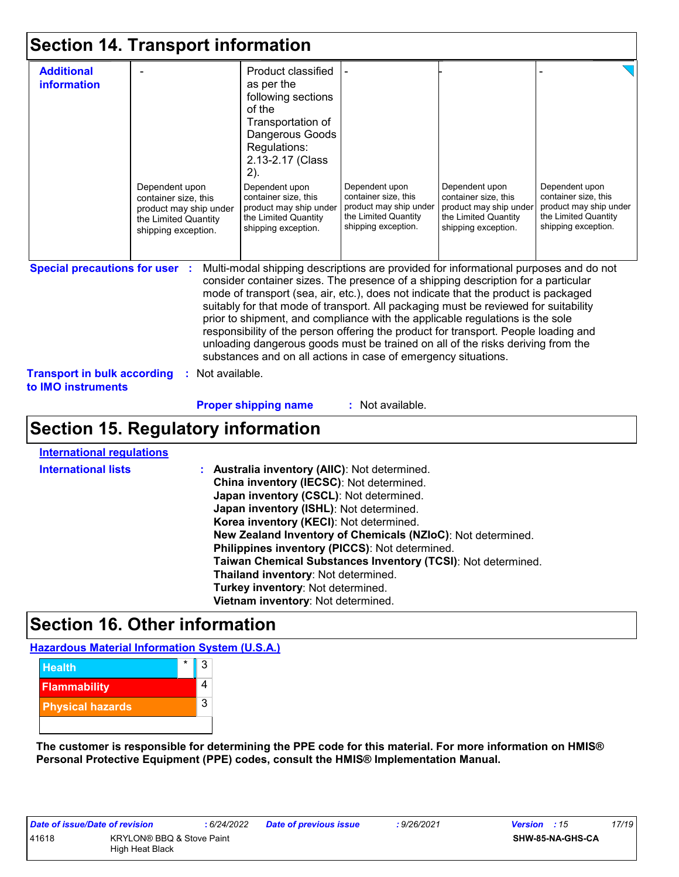## **Section 14. Transport information**

| <b>Additional</b><br>information                                                                  | Dependent upon<br>container size, this<br>product may ship under<br>the Limited Quantity<br>shipping exception. | Product classified<br>as per the<br>following sections<br>of the<br>Transportation of<br>Dangerous Goods<br>Regulations:<br>2.13-2.17 (Class<br>2).<br>Dependent upon<br>container size, this<br>product may ship under<br>the Limited Quantity<br>shipping exception.                                                                                                                                                                                                                                                                                                                                                                                                              | Dependent upon<br>container size, this<br>product may ship under<br>the Limited Quantity<br>shipping exception. | Dependent upon<br>container size, this<br>product may ship under<br>the Limited Quantity<br>shipping exception. | Dependent upon<br>container size, this<br>product may ship under<br>the Limited Quantity<br>shipping exception. |
|---------------------------------------------------------------------------------------------------|-----------------------------------------------------------------------------------------------------------------|-------------------------------------------------------------------------------------------------------------------------------------------------------------------------------------------------------------------------------------------------------------------------------------------------------------------------------------------------------------------------------------------------------------------------------------------------------------------------------------------------------------------------------------------------------------------------------------------------------------------------------------------------------------------------------------|-----------------------------------------------------------------------------------------------------------------|-----------------------------------------------------------------------------------------------------------------|-----------------------------------------------------------------------------------------------------------------|
| <b>Special precautions for user :</b><br><b>Transport in bulk according</b><br>to IMO instruments | : Not available.                                                                                                | Multi-modal shipping descriptions are provided for informational purposes and do not<br>consider container sizes. The presence of a shipping description for a particular<br>mode of transport (sea, air, etc.), does not indicate that the product is packaged<br>suitably for that mode of transport. All packaging must be reviewed for suitability<br>prior to shipment, and compliance with the applicable regulations is the sole<br>responsibility of the person offering the product for transport. People loading and<br>unloading dangerous goods must be trained on all of the risks deriving from the<br>substances and on all actions in case of emergency situations. |                                                                                                                 |                                                                                                                 |                                                                                                                 |
|                                                                                                   |                                                                                                                 | <b>Proper shipping name</b>                                                                                                                                                                                                                                                                                                                                                                                                                                                                                                                                                                                                                                                         | : Not available.                                                                                                |                                                                                                                 |                                                                                                                 |

# **Section 15. Regulatory information**

|  | International regulations |
|--|---------------------------|

| <b>International lists</b> | : Australia inventory (AIIC): Not determined.<br>China inventory (IECSC): Not determined.<br>Japan inventory (CSCL): Not determined.<br>Japan inventory (ISHL): Not determined.<br>Korea inventory (KECI): Not determined.<br>New Zealand Inventory of Chemicals (NZIoC): Not determined.<br>Philippines inventory (PICCS): Not determined.<br>Taiwan Chemical Substances Inventory (TCSI): Not determined.<br>Thailand inventory: Not determined.<br>Turkey inventory: Not determined.<br>Vietnam inventory: Not determined. |
|----------------------------|-------------------------------------------------------------------------------------------------------------------------------------------------------------------------------------------------------------------------------------------------------------------------------------------------------------------------------------------------------------------------------------------------------------------------------------------------------------------------------------------------------------------------------|
|----------------------------|-------------------------------------------------------------------------------------------------------------------------------------------------------------------------------------------------------------------------------------------------------------------------------------------------------------------------------------------------------------------------------------------------------------------------------------------------------------------------------------------------------------------------------|

## **Section 16. Other information**

**Hazardous Material Information System (U.S.A.)**



**The customer is responsible for determining the PPE code for this material. For more information on HMIS® Personal Protective Equipment (PPE) codes, consult the HMIS® Implementation Manual.**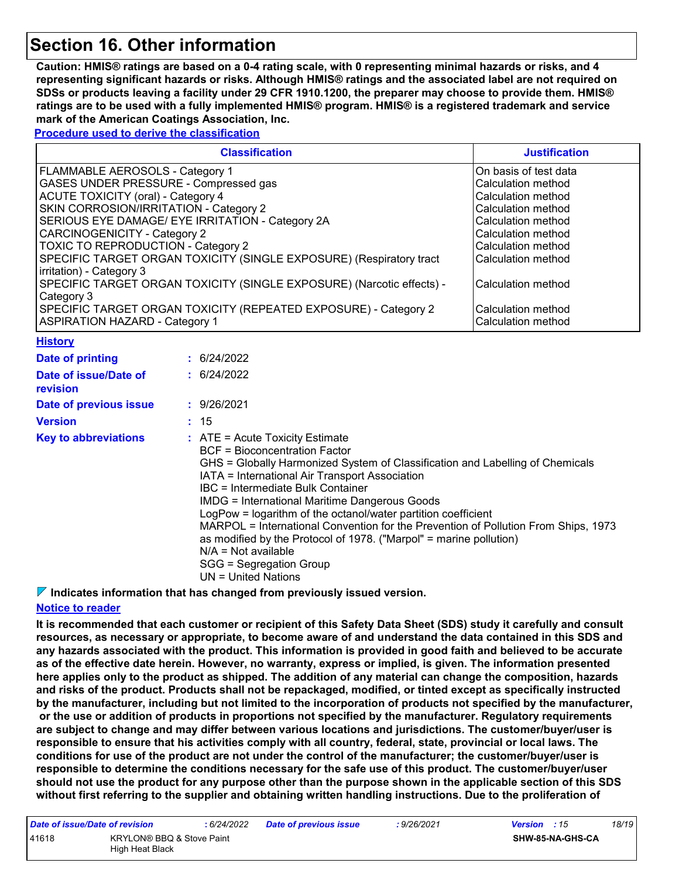## **Section 16. Other information**

**Caution: HMIS® ratings are based on a 0-4 rating scale, with 0 representing minimal hazards or risks, and 4 representing significant hazards or risks. Although HMIS® ratings and the associated label are not required on SDSs or products leaving a facility under 29 CFR 1910.1200, the preparer may choose to provide them. HMIS® ratings are to be used with a fully implemented HMIS® program. HMIS® is a registered trademark and service mark of the American Coatings Association, Inc.**

**Procedure used to derive the classification**

| <b>Classification</b>                                                 | <b>Justification</b>   |
|-----------------------------------------------------------------------|------------------------|
| FLAMMABLE AEROSOLS - Category 1                                       | IOn basis of test data |
| GASES UNDER PRESSURE - Compressed gas                                 | Calculation method     |
| <b>ACUTE TOXICITY (oral) - Category 4</b>                             | Calculation method     |
| SKIN CORROSION/IRRITATION - Category 2                                | Calculation method     |
| SERIOUS EYE DAMAGE/ EYE IRRITATION - Category 2A                      | Calculation method     |
| CARCINOGENICITY - Category 2                                          | l Calculation method   |
| <b>TOXIC TO REPRODUCTION - Category 2</b>                             | Calculation method     |
| SPECIFIC TARGET ORGAN TOXICITY (SINGLE EXPOSURE) (Respiratory tract   | lCalculation method    |
| irritation) - Category 3                                              |                        |
| SPECIFIC TARGET ORGAN TOXICITY (SINGLE EXPOSURE) (Narcotic effects) - | Calculation method     |
| Category 3                                                            |                        |
| SPECIFIC TARGET ORGAN TOXICITY (REPEATED EXPOSURE) - Category 2       | Calculation method     |
| <b>ASPIRATION HAZARD - Category 1</b>                                 | Calculation method     |

|  |  | Historv |  |  |  |  |
|--|--|---------|--|--|--|--|
|--|--|---------|--|--|--|--|

| Date of printing                  | : 6/24/2022                                                                                                                                                                                                                                                                                                                                                                                                                                                                                                                                                                                                           |
|-----------------------------------|-----------------------------------------------------------------------------------------------------------------------------------------------------------------------------------------------------------------------------------------------------------------------------------------------------------------------------------------------------------------------------------------------------------------------------------------------------------------------------------------------------------------------------------------------------------------------------------------------------------------------|
| Date of issue/Date of<br>revision | : 6/24/2022                                                                                                                                                                                                                                                                                                                                                                                                                                                                                                                                                                                                           |
| Date of previous issue            | : 9/26/2021                                                                                                                                                                                                                                                                                                                                                                                                                                                                                                                                                                                                           |
| <b>Version</b>                    | : 15                                                                                                                                                                                                                                                                                                                                                                                                                                                                                                                                                                                                                  |
| <b>Key to abbreviations</b>       | $\therefore$ ATE = Acute Toxicity Estimate<br>BCF = Bioconcentration Factor<br>GHS = Globally Harmonized System of Classification and Labelling of Chemicals<br>IATA = International Air Transport Association<br>IBC = Intermediate Bulk Container<br><b>IMDG = International Maritime Dangerous Goods</b><br>LogPow = logarithm of the octanol/water partition coefficient<br>MARPOL = International Convention for the Prevention of Pollution From Ships, 1973<br>as modified by the Protocol of 1978. ("Marpol" = marine pollution)<br>$N/A = Not available$<br>SGG = Segregation Group<br>$UN = United Nations$ |

**Indicates information that has changed from previously issued version.**

#### **Notice to reader**

**It is recommended that each customer or recipient of this Safety Data Sheet (SDS) study it carefully and consult resources, as necessary or appropriate, to become aware of and understand the data contained in this SDS and any hazards associated with the product. This information is provided in good faith and believed to be accurate as of the effective date herein. However, no warranty, express or implied, is given. The information presented here applies only to the product as shipped. The addition of any material can change the composition, hazards and risks of the product. Products shall not be repackaged, modified, or tinted except as specifically instructed by the manufacturer, including but not limited to the incorporation of products not specified by the manufacturer, or the use or addition of products in proportions not specified by the manufacturer. Regulatory requirements are subject to change and may differ between various locations and jurisdictions. The customer/buyer/user is responsible to ensure that his activities comply with all country, federal, state, provincial or local laws. The conditions for use of the product are not under the control of the manufacturer; the customer/buyer/user is responsible to determine the conditions necessary for the safe use of this product. The customer/buyer/user should not use the product for any purpose other than the purpose shown in the applicable section of this SDS without first referring to the supplier and obtaining written handling instructions. Due to the proliferation of** 

| Date of issue/Date of revision |                                              | : 6/24/2022 | <b>Date of previous issue</b> | : 9/26/2021 | <b>Version</b> : 15 |                  | 18/19 |
|--------------------------------|----------------------------------------------|-------------|-------------------------------|-------------|---------------------|------------------|-------|
| 41618                          | KRYLON® BBQ & Stove Paint<br>High Heat Black |             |                               |             |                     | SHW-85-NA-GHS-CA |       |